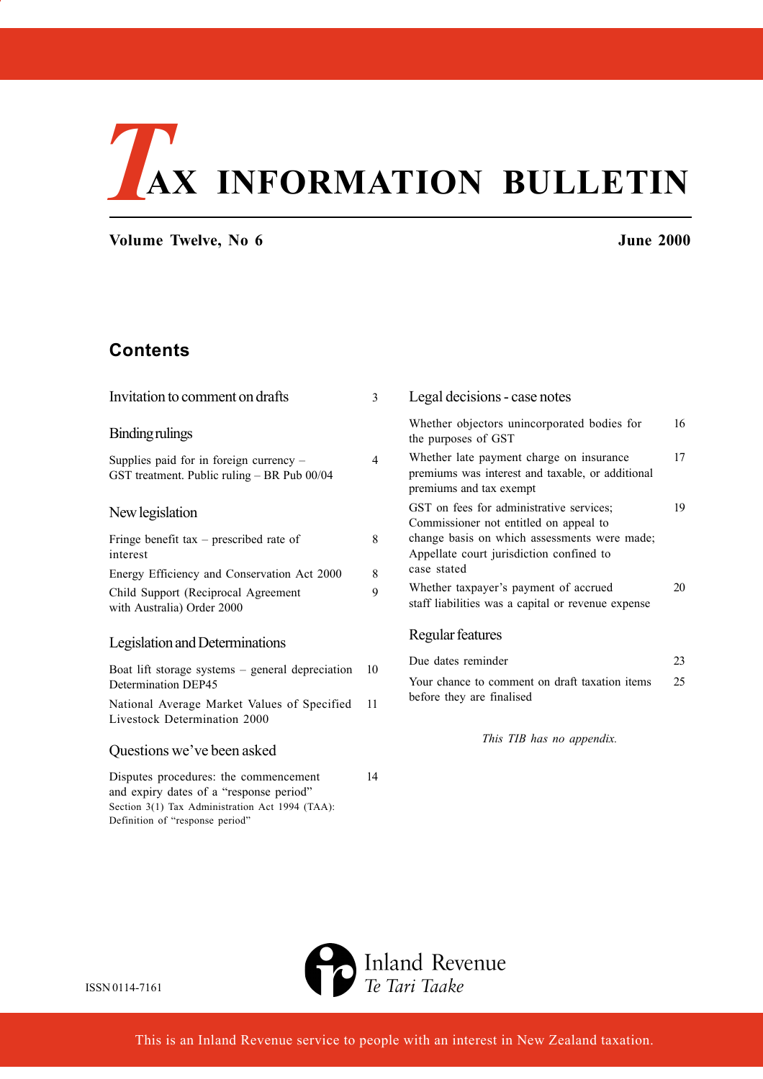# *T* **AX INFORMATION BULLETIN**

**Volume Twelve, No 6 June 2000**

# **Contents**

| Invitation to comment on drafts                                                        | 3  | Legal decisions - case notes                                                                                            |    |
|----------------------------------------------------------------------------------------|----|-------------------------------------------------------------------------------------------------------------------------|----|
| Binding rulings                                                                        |    | Whether objectors unincorporated bodies for<br>the purposes of GST                                                      | 16 |
| Supplies paid for in foreign currency -<br>GST treatment. Public ruling - BR Pub 00/04 | 4  | Whether late payment charge on insurance<br>premiums was interest and taxable, or additional<br>premiums and tax exempt | 17 |
| New legislation                                                                        |    | GST on fees for administrative services;<br>Commissioner not entitled on appeal to                                      | 19 |
| Fringe benefit $tax - prescribed$ rate of<br>interest                                  | 8  | change basis on which assessments were made;<br>Appellate court jurisdiction confined to                                |    |
| Energy Efficiency and Conservation Act 2000                                            | 8  | case stated                                                                                                             |    |
| Child Support (Reciprocal Agreement<br>with Australia) Order 2000                      | 9  | Whether taxpayer's payment of accrued<br>staff liabilities was a capital or revenue expense                             | 20 |
| Legislation and Determinations                                                         |    | Regular features                                                                                                        |    |
|                                                                                        | 10 | Due dates reminder                                                                                                      | 23 |
| Boat lift storage systems – general depreciation<br>Determination DEP45                |    | Your chance to comment on draft taxation items                                                                          | 25 |
| National Average Market Values of Specified<br>Livestock Determination 2000            | 11 | before they are finalised                                                                                               |    |
| Questions we've been asked                                                             |    | This TIB has no appendix.                                                                                               |    |
| Disputes procedures: the commencement<br>and expiry dates of a "response period"       | 14 |                                                                                                                         |    |



ISSN 0114-7161

Section 3(1) Tax Administration Act 1994 (TAA):

Definition of "response period"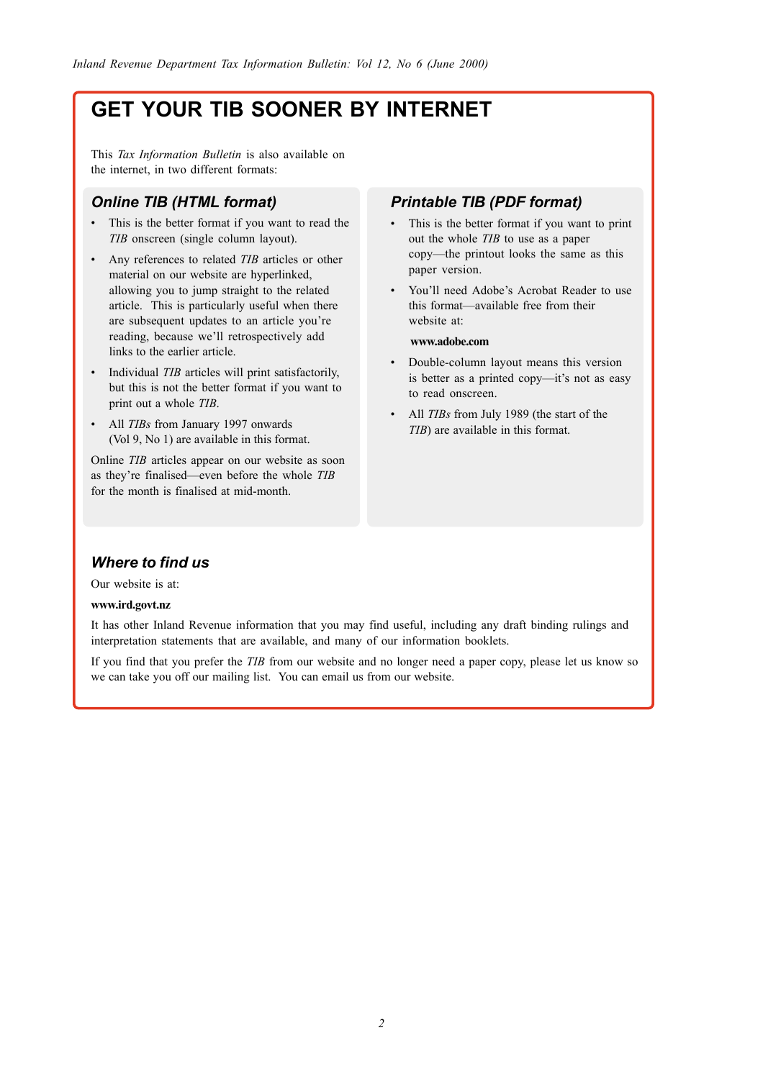# **GET YOUR TIB SOONER BY INTERNET**

This *Tax Information Bulletin* is also available on the internet, in two different formats:

## *Online TIB (HTML format)*

- This is the better format if you want to read the *TIB* onscreen (single column layout).
- Any references to related *TIB* articles or other material on our website are hyperlinked, allowing you to jump straight to the related article. This is particularly useful when there are subsequent updates to an article you're reading, because we'll retrospectively add links to the earlier article.
- Individual *TIB* articles will print satisfactorily, but this is not the better format if you want to print out a whole *TIB*.
- All *TIBs* from January 1997 onwards (Vol 9, No 1) are available in this format.

Online *TIB* articles appear on our website as soon as they're finalised—even before the whole *TIB* for the month is finalised at mid-month.

### *Printable TIB (PDF format)*

- This is the better format if you want to print out the whole *TIB* to use as a paper copy—the printout looks the same as this paper version.
- You'll need Adobe's Acrobat Reader to use this format—available free from their website at:

#### **www.adobe.com**

- Double-column layout means this version is better as a printed copy—it's not as easy to read onscreen.
- All *TIBs* from July 1989 (the start of the *TIB*) are available in this format.

## *Where to find us*

Our website is at:

#### **www.ird.govt.nz**

It has other Inland Revenue information that you may find useful, including any draft binding rulings and interpretation statements that are available, and many of our information booklets.

If you find that you prefer the *TIB* from our website and no longer need a paper copy, please let us know so we can take you off our mailing list. You can email us from our website.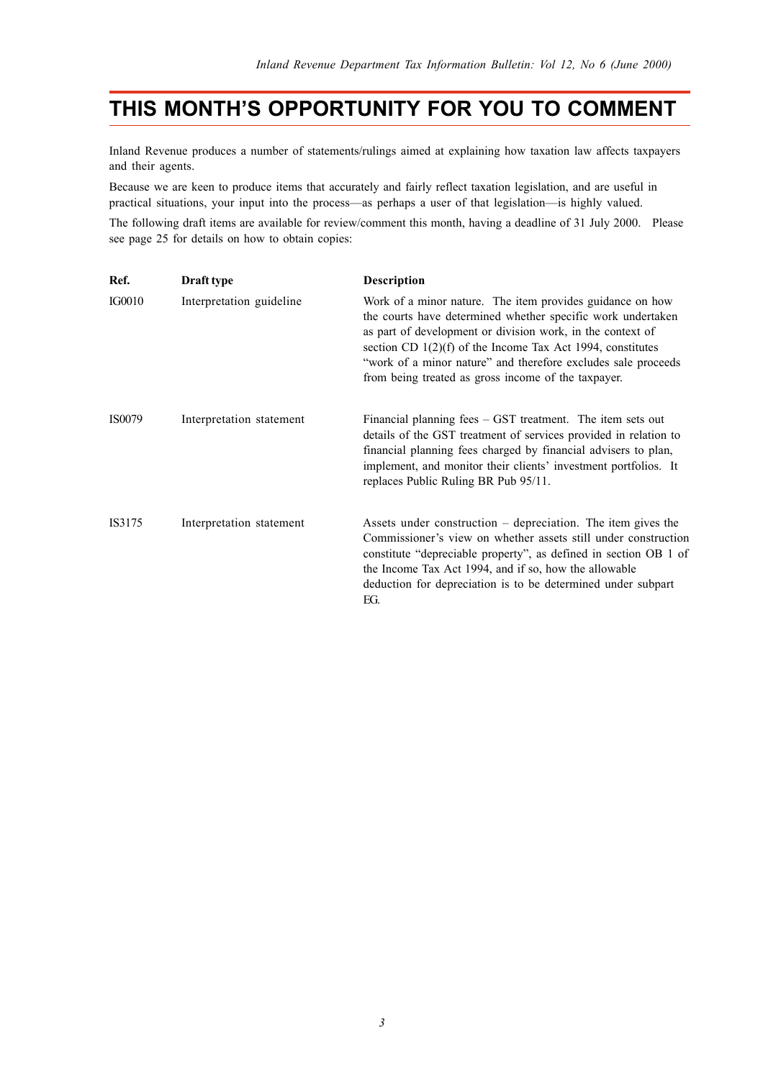# **THIS MONTH'S OPPORTUNITY FOR YOU TO COMMENT**

Inland Revenue produces a number of statements/rulings aimed at explaining how taxation law affects taxpayers and their agents.

Because we are keen to produce items that accurately and fairly reflect taxation legislation, and are useful in practical situations, your input into the process—as perhaps a user of that legislation—is highly valued.

The following draft items are available for review/comment this month, having a deadline of 31 July 2000. Please see page 25 for details on how to obtain copies:

| Ref.          | <b>Draft type</b>        | <b>Description</b>                                                                                                                                                                                                                                                                                                                                                             |
|---------------|--------------------------|--------------------------------------------------------------------------------------------------------------------------------------------------------------------------------------------------------------------------------------------------------------------------------------------------------------------------------------------------------------------------------|
| <b>IG0010</b> | Interpretation guideline | Work of a minor nature. The item provides guidance on how<br>the courts have determined whether specific work undertaken<br>as part of development or division work, in the context of<br>section CD $1(2)(f)$ of the Income Tax Act 1994, constitutes<br>"work of a minor nature" and therefore excludes sale proceeds<br>from being treated as gross income of the taxpayer. |
| IS0079        | Interpretation statement | Financial planning fees $-$ GST treatment. The item sets out<br>details of the GST treatment of services provided in relation to<br>financial planning fees charged by financial advisers to plan,<br>implement, and monitor their clients' investment portfolios. It<br>replaces Public Ruling BR Pub 95/11.                                                                  |
| IS3175        | Interpretation statement | Assets under construction $-$ depreciation. The item gives the<br>Commissioner's view on whether assets still under construction<br>constitute "depreciable property", as defined in section OB 1 of<br>the Income Tax Act 1994, and if so, how the allowable<br>deduction for depreciation is to be determined under subpart<br>EG.                                           |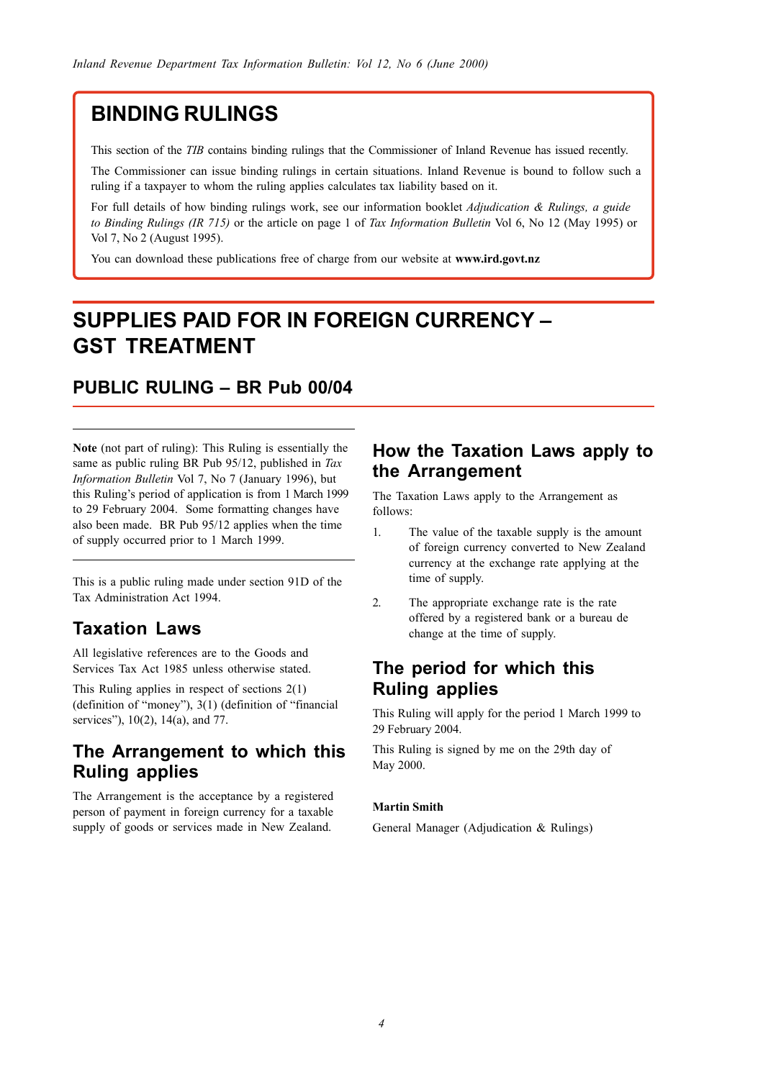# **BINDING RULINGS**

This section of the *TIB* contains binding rulings that the Commissioner of Inland Revenue has issued recently.

The Commissioner can issue binding rulings in certain situations. Inland Revenue is bound to follow such a ruling if a taxpayer to whom the ruling applies calculates tax liability based on it.

For full details of how binding rulings work, see our information booklet *Adjudication & Rulings, a guide to Binding Rulings (IR 715)* or the article on page 1 of *Tax Information Bulletin* Vol 6, No 12 (May 1995) or Vol 7, No 2 (August 1995).

You can download these publications free of charge from our website at **www.ird.govt.nz**

# **SUPPLIES PAID FOR IN FOREIGN CURRENCY – GST TREATMENT**

## **PUBLIC RULING – BR Pub 00/04**

**Note** (not part of ruling): This Ruling is essentially the same as public ruling BR Pub 95/12, published in *Tax Information Bulletin* Vol 7, No 7 (January 1996), but this Ruling's period of application is from 1 March 1999 to 29 February 2004. Some formatting changes have also been made. BR Pub 95/12 applies when the time of supply occurred prior to 1 March 1999.

This is a public ruling made under section 91D of the Tax Administration Act 1994.

## **Taxation Laws**

All legislative references are to the Goods and Services Tax Act 1985 unless otherwise stated.

This Ruling applies in respect of sections 2(1) (definition of "money"), 3(1) (definition of "financial services"), 10(2), 14(a), and 77.

## **The Arrangement to which this Ruling applies**

The Arrangement is the acceptance by a registered person of payment in foreign currency for a taxable supply of goods or services made in New Zealand.

## **How the Taxation Laws apply to the Arrangement**

The Taxation Laws apply to the Arrangement as follows:

- 1. The value of the taxable supply is the amount of foreign currency converted to New Zealand currency at the exchange rate applying at the time of supply.
- 2. The appropriate exchange rate is the rate offered by a registered bank or a bureau de change at the time of supply.

## **The period for which this Ruling applies**

This Ruling will apply for the period 1 March 1999 to 29 February 2004.

This Ruling is signed by me on the 29th day of May 2000.

#### **Martin Smith**

General Manager (Adjudication & Rulings)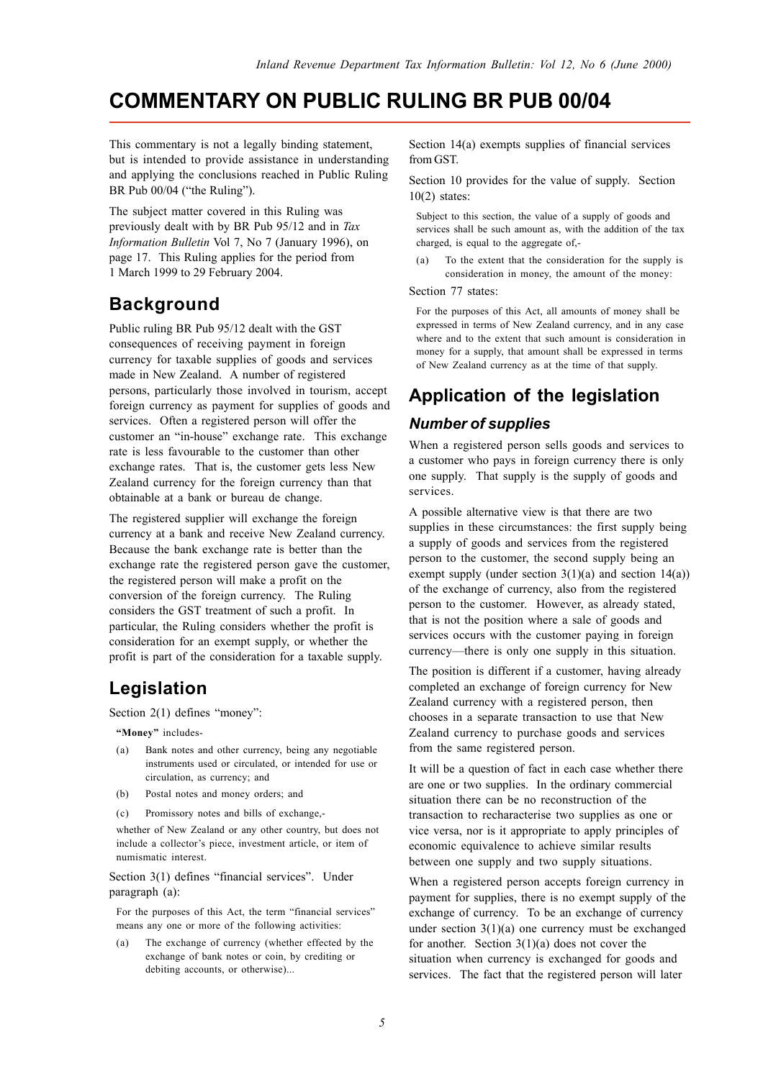# **COMMENTARY ON PUBLIC RULING BR PUB 00/04**

This commentary is not a legally binding statement, but is intended to provide assistance in understanding and applying the conclusions reached in Public Ruling BR Pub 00/04 ("the Ruling").

The subject matter covered in this Ruling was previously dealt with by BR Pub 95/12 and in *Tax Information Bulletin* Vol 7, No 7 (January 1996), on page 17. This Ruling applies for the period from 1 March 1999 to 29 February 2004.

# **Background**

Public ruling BR Pub 95/12 dealt with the GST consequences of receiving payment in foreign currency for taxable supplies of goods and services made in New Zealand. A number of registered persons, particularly those involved in tourism, accept foreign currency as payment for supplies of goods and services. Often a registered person will offer the customer an "in-house" exchange rate. This exchange rate is less favourable to the customer than other exchange rates. That is, the customer gets less New Zealand currency for the foreign currency than that obtainable at a bank or bureau de change.

The registered supplier will exchange the foreign currency at a bank and receive New Zealand currency. Because the bank exchange rate is better than the exchange rate the registered person gave the customer, the registered person will make a profit on the conversion of the foreign currency. The Ruling considers the GST treatment of such a profit. In particular, the Ruling considers whether the profit is consideration for an exempt supply, or whether the profit is part of the consideration for a taxable supply.

# **Legislation**

Section 2(1) defines "money":

**"Money"** includes-

- (a) Bank notes and other currency, being any negotiable instruments used or circulated, or intended for use or circulation, as currency; and
- (b) Postal notes and money orders; and
- (c) Promissory notes and bills of exchange,-

whether of New Zealand or any other country, but does not include a collector's piece, investment article, or item of numismatic interest.

Section 3(1) defines "financial services". Under paragraph (a):

For the purposes of this Act, the term "financial services" means any one or more of the following activities:

(a) The exchange of currency (whether effected by the exchange of bank notes or coin, by crediting or debiting accounts, or otherwise)...

Section 14(a) exempts supplies of financial services from GST.

Section 10 provides for the value of supply. Section 10(2) states:

Subject to this section, the value of a supply of goods and services shall be such amount as, with the addition of the tax charged, is equal to the aggregate of,-

(a) To the extent that the consideration for the supply is consideration in money, the amount of the money:

#### Section 77 states:

For the purposes of this Act, all amounts of money shall be expressed in terms of New Zealand currency, and in any case where and to the extent that such amount is consideration in money for a supply, that amount shall be expressed in terms of New Zealand currency as at the time of that supply.

# **Application of the legislation** *Number of supplies*

When a registered person sells goods and services to a customer who pays in foreign currency there is only one supply. That supply is the supply of goods and services.

A possible alternative view is that there are two supplies in these circumstances: the first supply being a supply of goods and services from the registered person to the customer, the second supply being an exempt supply (under section  $3(1)(a)$  and section  $14(a)$ ) of the exchange of currency, also from the registered person to the customer. However, as already stated, that is not the position where a sale of goods and services occurs with the customer paying in foreign currency—there is only one supply in this situation.

The position is different if a customer, having already completed an exchange of foreign currency for New Zealand currency with a registered person, then chooses in a separate transaction to use that New Zealand currency to purchase goods and services from the same registered person.

It will be a question of fact in each case whether there are one or two supplies. In the ordinary commercial situation there can be no reconstruction of the transaction to recharacterise two supplies as one or vice versa, nor is it appropriate to apply principles of economic equivalence to achieve similar results between one supply and two supply situations.

When a registered person accepts foreign currency in payment for supplies, there is no exempt supply of the exchange of currency. To be an exchange of currency under section 3(1)(a) one currency must be exchanged for another. Section 3(1)(a) does not cover the situation when currency is exchanged for goods and services. The fact that the registered person will later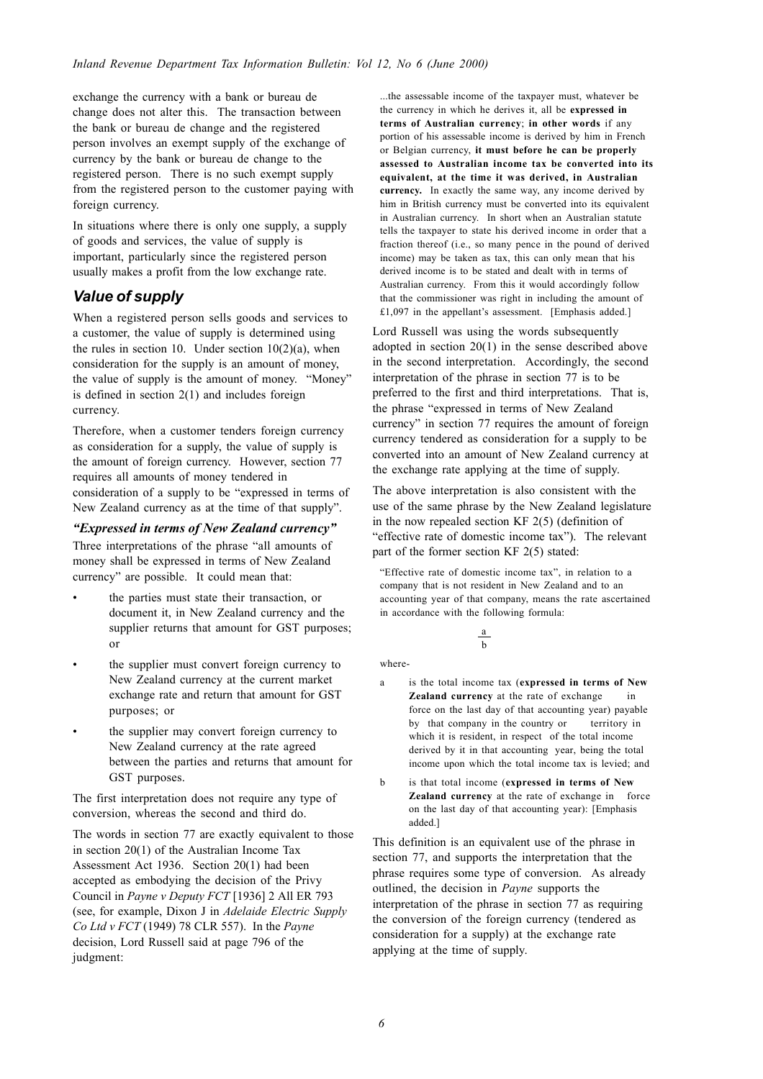exchange the currency with a bank or bureau de change does not alter this. The transaction between the bank or bureau de change and the registered person involves an exempt supply of the exchange of currency by the bank or bureau de change to the registered person. There is no such exempt supply from the registered person to the customer paying with foreign currency.

In situations where there is only one supply, a supply of goods and services, the value of supply is important, particularly since the registered person usually makes a profit from the low exchange rate.

## *Value of supply*

When a registered person sells goods and services to a customer, the value of supply is determined using the rules in section 10. Under section  $10(2)(a)$ , when consideration for the supply is an amount of money, the value of supply is the amount of money. "Money" is defined in section  $2(1)$  and includes foreign currency.

Therefore, when a customer tenders foreign currency as consideration for a supply, the value of supply is the amount of foreign currency. However, section 77 requires all amounts of money tendered in consideration of a supply to be "expressed in terms of New Zealand currency as at the time of that supply".

#### *"Expressed in terms of New Zealand currency"*

Three interpretations of the phrase "all amounts of money shall be expressed in terms of New Zealand currency" are possible. It could mean that:

- the parties must state their transaction, or document it, in New Zealand currency and the supplier returns that amount for GST purposes; or
- the supplier must convert foreign currency to New Zealand currency at the current market exchange rate and return that amount for GST purposes; or
- the supplier may convert foreign currency to New Zealand currency at the rate agreed between the parties and returns that amount for GST purposes.

The first interpretation does not require any type of conversion, whereas the second and third do.

The words in section 77 are exactly equivalent to those in section 20(1) of the Australian Income Tax Assessment Act 1936. Section 20(1) had been accepted as embodying the decision of the Privy Council in *Payne v Deputy FCT* [1936] 2 All ER 793 (see, for example, Dixon J in *Adelaide Electric Supply Co Ltd v FCT* (1949) 78 CLR 557). In the *Payne* decision, Lord Russell said at page 796 of the judgment:

...the assessable income of the taxpayer must, whatever be the currency in which he derives it, all be **expressed in terms of Australian currency**; **in other words** if any portion of his assessable income is derived by him in French or Belgian currency, **it must before he can be properly assessed to Australian income tax be converted into its equivalent, at the time it was derived, in Australian currency.** In exactly the same way, any income derived by him in British currency must be converted into its equivalent in Australian currency. In short when an Australian statute tells the taxpayer to state his derived income in order that a fraction thereof (i.e., so many pence in the pound of derived income) may be taken as tax, this can only mean that his derived income is to be stated and dealt with in terms of Australian currency. From this it would accordingly follow that the commissioner was right in including the amount of £1,097 in the appellant's assessment. [Emphasis added.]

Lord Russell was using the words subsequently adopted in section 20(1) in the sense described above in the second interpretation. Accordingly, the second interpretation of the phrase in section 77 is to be preferred to the first and third interpretations. That is, the phrase "expressed in terms of New Zealand currency" in section 77 requires the amount of foreign currency tendered as consideration for a supply to be converted into an amount of New Zealand currency at the exchange rate applying at the time of supply.

The above interpretation is also consistent with the use of the same phrase by the New Zealand legislature in the now repealed section KF 2(5) (definition of "effective rate of domestic income tax"). The relevant part of the former section KF 2(5) stated:

"Effective rate of domestic income tax", in relation to a company that is not resident in New Zealand and to an accounting year of that company, means the rate ascertained in accordance with the following formula:

$$
\frac{\text{a}}{\text{b}}
$$

where-

- a is the total income tax (**expressed in terms of New Zealand currency** at the rate of exchange in force on the last day of that accounting year) payable by that company in the country or territory in which it is resident, in respect of the total income derived by it in that accounting year, being the total income upon which the total income tax is levied; and
- b is that total income (**expressed in terms of New Zealand currency** at the rate of exchange in force on the last day of that accounting year): [Emphasis added.]

This definition is an equivalent use of the phrase in section 77, and supports the interpretation that the phrase requires some type of conversion. As already outlined, the decision in *Payne* supports the interpretation of the phrase in section 77 as requiring the conversion of the foreign currency (tendered as consideration for a supply) at the exchange rate applying at the time of supply.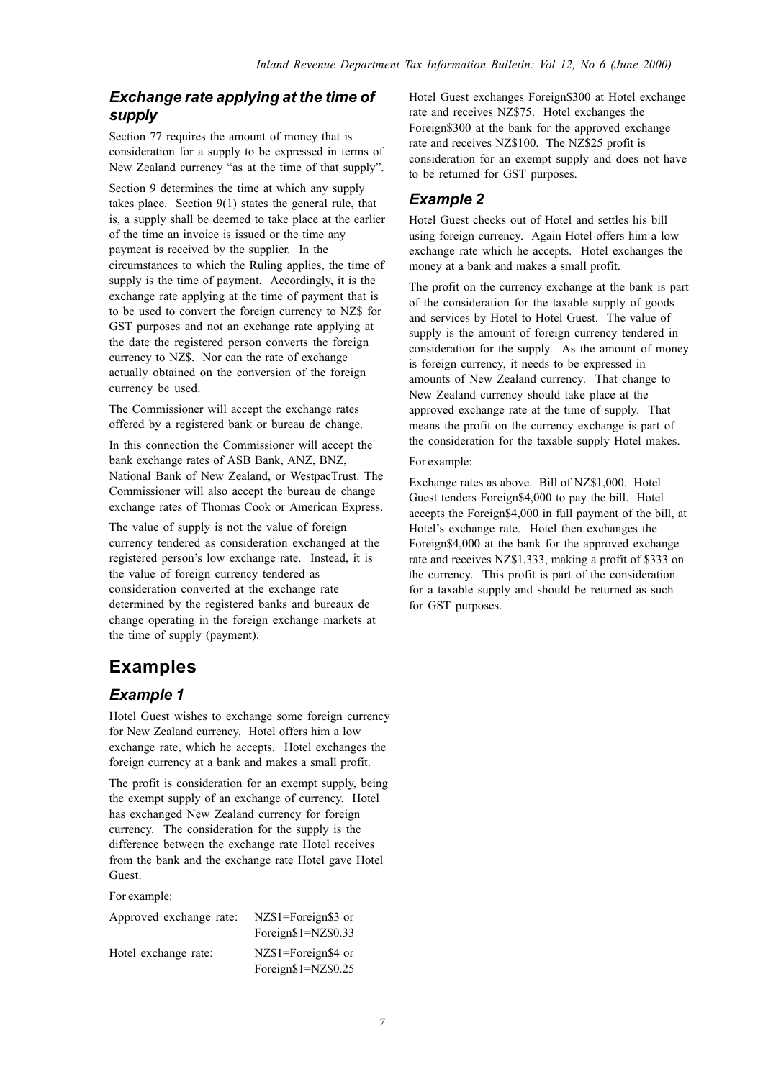## *Exchange rate applying at the time of supply*

Section 77 requires the amount of money that is consideration for a supply to be expressed in terms of New Zealand currency "as at the time of that supply".

Section 9 determines the time at which any supply takes place. Section 9(1) states the general rule, that is, a supply shall be deemed to take place at the earlier of the time an invoice is issued or the time any payment is received by the supplier. In the circumstances to which the Ruling applies, the time of supply is the time of payment. Accordingly, it is the exchange rate applying at the time of payment that is to be used to convert the foreign currency to NZ\$ for GST purposes and not an exchange rate applying at the date the registered person converts the foreign currency to NZ\$. Nor can the rate of exchange actually obtained on the conversion of the foreign currency be used.

The Commissioner will accept the exchange rates offered by a registered bank or bureau de change.

In this connection the Commissioner will accept the bank exchange rates of ASB Bank, ANZ, BNZ, National Bank of New Zealand, or WestpacTrust. The Commissioner will also accept the bureau de change exchange rates of Thomas Cook or American Express.

The value of supply is not the value of foreign currency tendered as consideration exchanged at the registered person's low exchange rate. Instead, it is the value of foreign currency tendered as consideration converted at the exchange rate determined by the registered banks and bureaux de change operating in the foreign exchange markets at the time of supply (payment).

# **Examples**

## *Example 1*

Hotel Guest wishes to exchange some foreign currency for New Zealand currency. Hotel offers him a low exchange rate, which he accepts. Hotel exchanges the foreign currency at a bank and makes a small profit.

The profit is consideration for an exempt supply, being the exempt supply of an exchange of currency. Hotel has exchanged New Zealand currency for foreign currency. The consideration for the supply is the difference between the exchange rate Hotel receives from the bank and the exchange rate Hotel gave Hotel Guest.

For example:

| Approved exchange rate: | $NZ$1 = Foreign$3 or$<br>Foreign\$1=NZ\$0.33 |
|-------------------------|----------------------------------------------|
| Hotel exchange rate:    | NZ\$1=Foreign\$4 or<br>Foreign\$1=NZ\$0.25   |

Hotel Guest exchanges Foreign\$300 at Hotel exchange rate and receives NZ\$75. Hotel exchanges the Foreign\$300 at the bank for the approved exchange rate and receives NZ\$100. The NZ\$25 profit is consideration for an exempt supply and does not have to be returned for GST purposes.

## *Example 2*

Hotel Guest checks out of Hotel and settles his bill using foreign currency. Again Hotel offers him a low exchange rate which he accepts. Hotel exchanges the money at a bank and makes a small profit.

The profit on the currency exchange at the bank is part of the consideration for the taxable supply of goods and services by Hotel to Hotel Guest. The value of supply is the amount of foreign currency tendered in consideration for the supply. As the amount of money is foreign currency, it needs to be expressed in amounts of New Zealand currency. That change to New Zealand currency should take place at the approved exchange rate at the time of supply. That means the profit on the currency exchange is part of the consideration for the taxable supply Hotel makes.

#### For example:

Exchange rates as above. Bill of NZ\$1,000. Hotel Guest tenders Foreign\$4,000 to pay the bill. Hotel accepts the Foreign\$4,000 in full payment of the bill, at Hotel's exchange rate. Hotel then exchanges the Foreign\$4,000 at the bank for the approved exchange rate and receives NZ\$1,333, making a profit of \$333 on the currency. This profit is part of the consideration for a taxable supply and should be returned as such for GST purposes.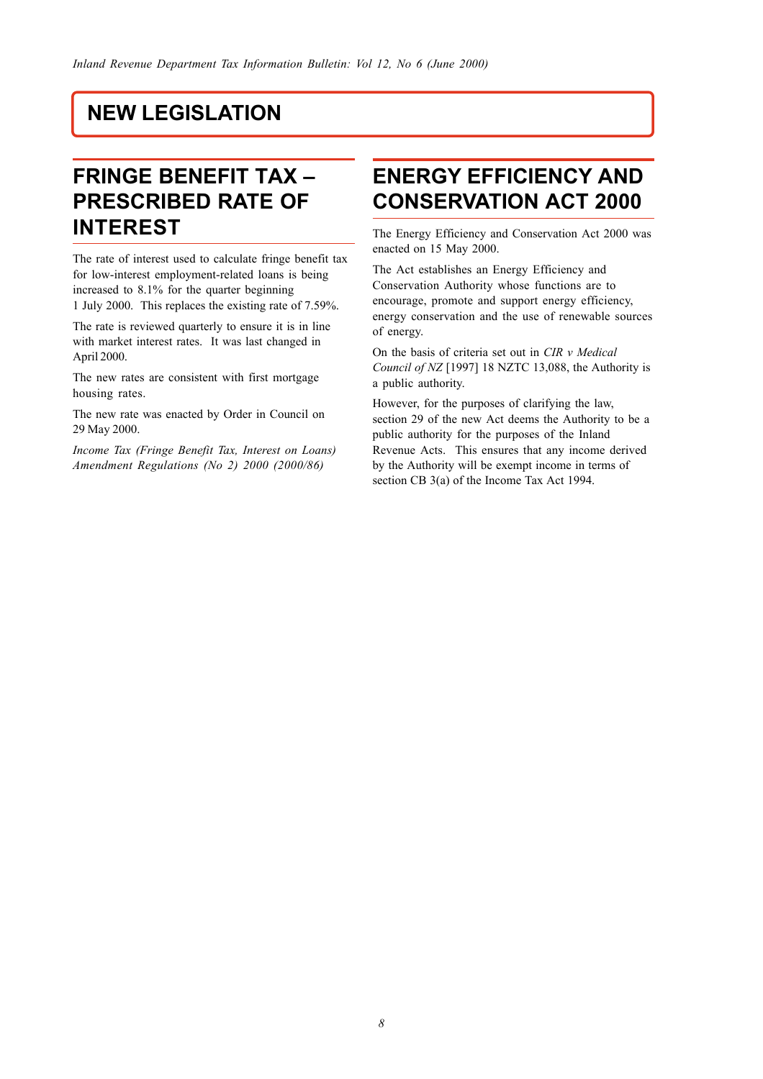# **NEW LEGISLATION**

# **FRINGE BENEFIT TAX – PRESCRIBED RATE OF INTEREST**

The rate of interest used to calculate fringe benefit tax for low-interest employment-related loans is being increased to 8.1% for the quarter beginning 1 July 2000. This replaces the existing rate of 7.59%.

The rate is reviewed quarterly to ensure it is in line with market interest rates. It was last changed in April 2000.

The new rates are consistent with first mortgage housing rates.

The new rate was enacted by Order in Council on 29 May 2000.

*Income Tax (Fringe Benefit Tax, Interest on Loans) Amendment Regulations (No 2) 2000 (2000/86)*

# **ENERGY EFFICIENCY AND CONSERVATION ACT 2000**

The Energy Efficiency and Conservation Act 2000 was enacted on 15 May 2000.

The Act establishes an Energy Efficiency and Conservation Authority whose functions are to encourage, promote and support energy efficiency, energy conservation and the use of renewable sources of energy.

On the basis of criteria set out in *CIR v Medical Council of NZ* [1997] 18 NZTC 13,088, the Authority is a public authority.

However, for the purposes of clarifying the law, section 29 of the new Act deems the Authority to be a public authority for the purposes of the Inland Revenue Acts. This ensures that any income derived by the Authority will be exempt income in terms of section CB 3(a) of the Income Tax Act 1994.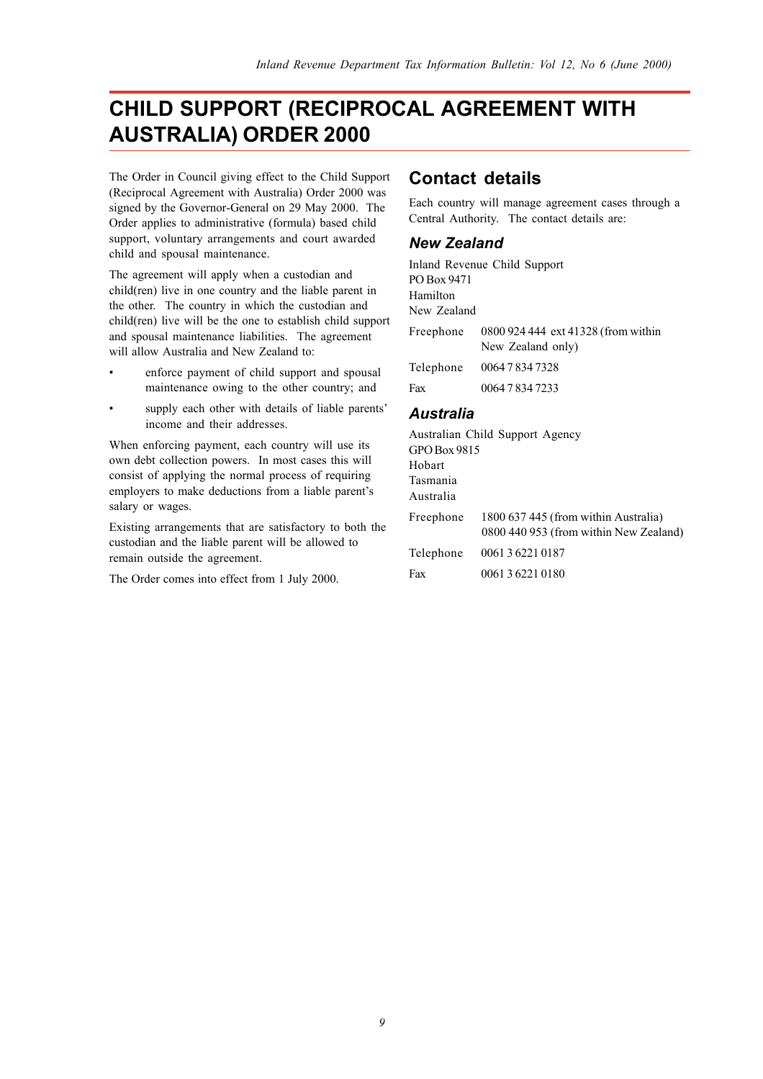# **CHILD SUPPORT (RECIPROCAL AGREEMENT WITH AUSTRALIA) ORDER 2000**

The Order in Council giving effect to the Child Support (Reciprocal Agreement with Australia) Order 2000 was signed by the Governor-General on 29 May 2000. The Order applies to administrative (formula) based child support, voluntary arrangements and court awarded child and spousal maintenance.

The agreement will apply when a custodian and child(ren) live in one country and the liable parent in the other. The country in which the custodian and child(ren) live will be the one to establish child support and spousal maintenance liabilities. The agreement will allow Australia and New Zealand to:

- enforce payment of child support and spousal maintenance owing to the other country; and
- supply each other with details of liable parents' income and their addresses.

When enforcing payment, each country will use its own debt collection powers. In most cases this will consist of applying the normal process of requiring employers to make deductions from a liable parent's salary or wages.

Existing arrangements that are satisfactory to both the custodian and the liable parent will be allowed to remain outside the agreement.

The Order comes into effect from 1 July 2000.

## **Contact details**

Each country will manage agreement cases through a Central Authority. The contact details are:

## *New Zealand*

| PO Box 9471<br>Hamilton | Inland Revenue Child Support                             |
|-------------------------|----------------------------------------------------------|
| New Zealand             |                                                          |
| Freephone               | 0800 924 444 ext 41328 (from within<br>New Zealand only) |
| Telephone               | 0064 7 834 7328                                          |
| Fax                     | 0064 7 834 7233                                          |

## *Australia*

|              | Australian Child Support Agency                                                |
|--------------|--------------------------------------------------------------------------------|
| GPO Box 9815 |                                                                                |
| Hobart       |                                                                                |
| Tasmania     |                                                                                |
| Australia    |                                                                                |
| Freephone    | 1800 637 445 (from within Australia)<br>0800 440 953 (from within New Zealand) |
| Telephone    | 0061362210187                                                                  |
| Fax          | 0061362210180                                                                  |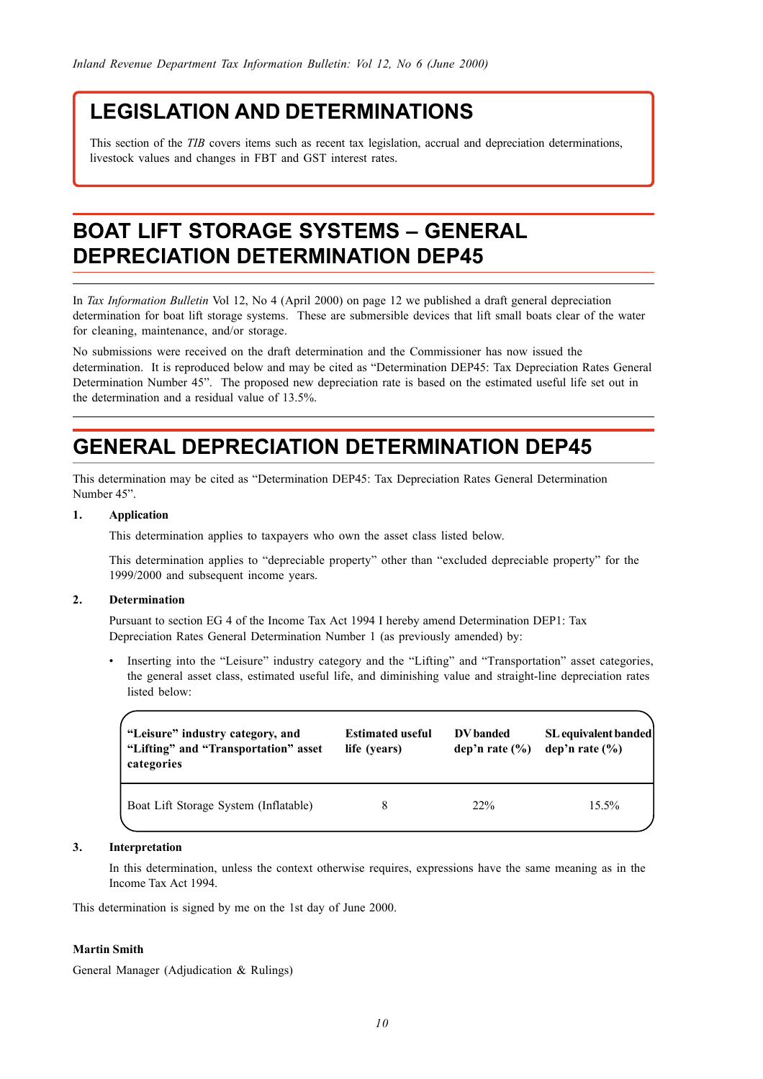# **LEGISLATION AND DETERMINATIONS**

This section of the *TIB* covers items such as recent tax legislation, accrual and depreciation determinations, livestock values and changes in FBT and GST interest rates.

# **BOAT LIFT STORAGE SYSTEMS – GENERAL DEPRECIATION DETERMINATION DEP45**

In *Tax Information Bulletin* Vol 12, No 4 (April 2000) on page 12 we published a draft general depreciation determination for boat lift storage systems. These are submersible devices that lift small boats clear of the water for cleaning, maintenance, and/or storage.

No submissions were received on the draft determination and the Commissioner has now issued the determination. It is reproduced below and may be cited as "Determination DEP45: Tax Depreciation Rates General Determination Number 45". The proposed new depreciation rate is based on the estimated useful life set out in the determination and a residual value of 13.5%.

# **GENERAL DEPRECIATION DETERMINATION DEP45**

This determination may be cited as "Determination DEP45: Tax Depreciation Rates General Determination Number 45".

#### **1. Application**

This determination applies to taxpayers who own the asset class listed below.

This determination applies to "depreciable property" other than "excluded depreciable property" for the 1999/2000 and subsequent income years.

#### **2. Determination**

Pursuant to section EG 4 of the Income Tax Act 1994 I hereby amend Determination DEP1: Tax Depreciation Rates General Determination Number 1 (as previously amended) by:

• Inserting into the "Leisure" industry category and the "Lifting" and "Transportation" asset categories, the general asset class, estimated useful life, and diminishing value and straight-line depreciation rates listed below:

| "Leisure" industry category, and<br>"Lifting" and "Transportation" asset<br>categories | <b>Estimated useful</b><br>life (years) | DV banded<br>dep'n rate $(\% )$ | <b>SL</b> equivalent banded<br>dep'n rate $(\% )$ |
|----------------------------------------------------------------------------------------|-----------------------------------------|---------------------------------|---------------------------------------------------|
| Boat Lift Storage System (Inflatable)                                                  |                                         | $22\%$                          | $15.5\%$                                          |

#### **3. Interpretation**

In this determination, unless the context otherwise requires, expressions have the same meaning as in the Income Tax Act 1994.

This determination is signed by me on the 1st day of June 2000.

#### **Martin Smith**

General Manager (Adjudication & Rulings)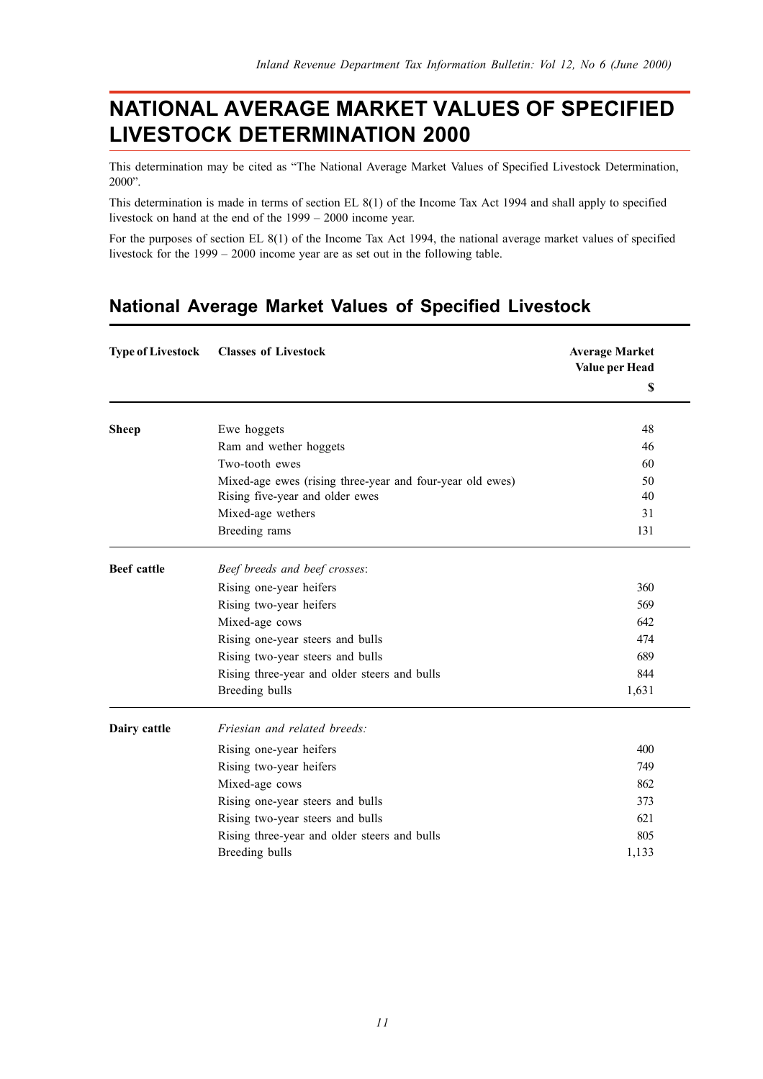# **NATIONAL AVERAGE MARKET VALUES OF SPECIFIED LIVESTOCK DETERMINATION 2000**

This determination may be cited as "The National Average Market Values of Specified Livestock Determination, 2000".

This determination is made in terms of section EL 8(1) of the Income Tax Act 1994 and shall apply to specified livestock on hand at the end of the 1999 – 2000 income year.

For the purposes of section EL 8(1) of the Income Tax Act 1994, the national average market values of specified livestock for the 1999 – 2000 income year are as set out in the following table.

# **National Average Market Values of Specified Livestock**

| <b>Type of Livestock</b> | <b>Classes of Livestock</b>                               | <b>Average Market</b><br>Value per Head |
|--------------------------|-----------------------------------------------------------|-----------------------------------------|
|                          |                                                           | \$                                      |
| <b>Sheep</b>             | Ewe hoggets                                               | 48                                      |
|                          | Ram and wether hoggets                                    | 46                                      |
|                          | Two-tooth ewes                                            | 60                                      |
|                          | Mixed-age ewes (rising three-year and four-year old ewes) | 50                                      |
|                          | Rising five-year and older ewes                           | 40                                      |
|                          | Mixed-age wethers                                         | 31                                      |
|                          | Breeding rams                                             | 131                                     |
| <b>Beef</b> cattle       | Beef breeds and beef crosses:                             |                                         |
|                          | Rising one-year heifers                                   | 360                                     |
|                          | Rising two-year heifers                                   | 569                                     |
|                          | Mixed-age cows                                            | 642                                     |
|                          | Rising one-year steers and bulls                          | 474                                     |
|                          | Rising two-year steers and bulls                          | 689                                     |
|                          | Rising three-year and older steers and bulls              | 844                                     |
|                          | Breeding bulls                                            | 1,631                                   |
| Dairy cattle             | Friesian and related breeds:                              |                                         |
|                          | Rising one-year heifers                                   | 400                                     |
|                          | Rising two-year heifers                                   | 749                                     |
|                          | Mixed-age cows                                            | 862                                     |
|                          | Rising one-year steers and bulls                          | 373                                     |
|                          | Rising two-year steers and bulls                          | 621                                     |
|                          | Rising three-year and older steers and bulls              | 805                                     |
|                          | Breeding bulls                                            | 1,133                                   |
|                          |                                                           |                                         |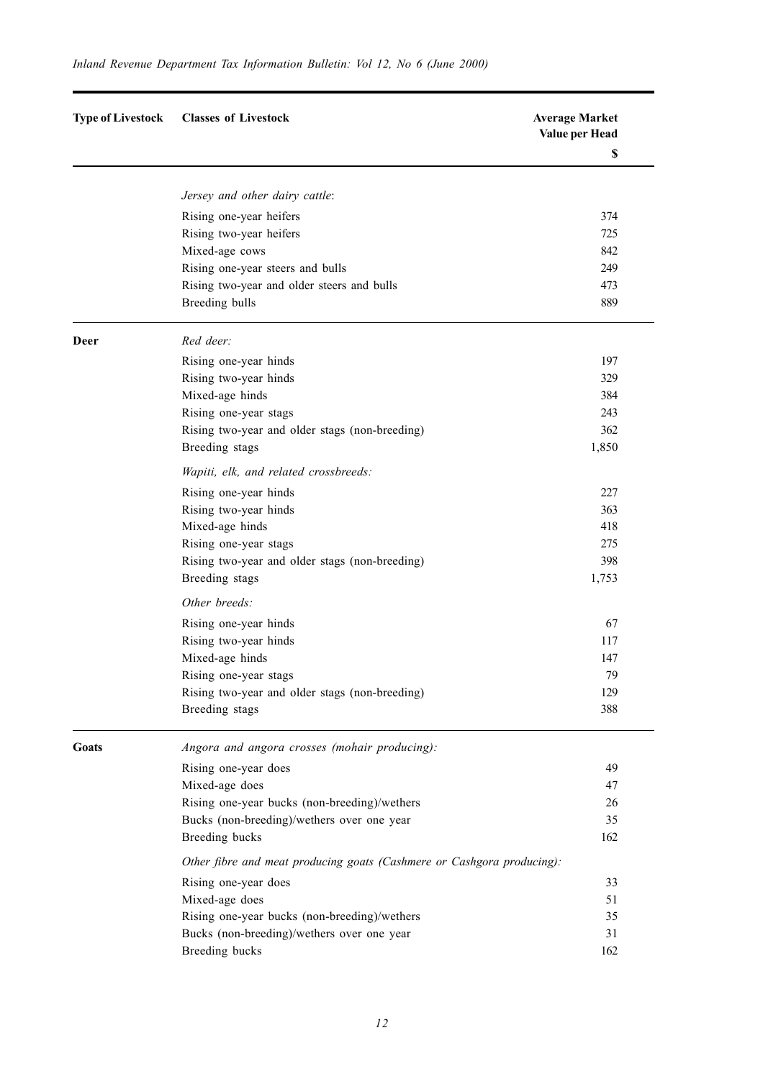| <b>Type of Livestock</b> | <b>Classes of Livestock</b>                                            | <b>Average Market</b><br>Value per Head |
|--------------------------|------------------------------------------------------------------------|-----------------------------------------|
|                          |                                                                        | \$                                      |
|                          | Jersey and other dairy cattle:                                         |                                         |
|                          | Rising one-year heifers                                                | 374                                     |
|                          | Rising two-year heifers                                                | 725                                     |
|                          | Mixed-age cows                                                         | 842                                     |
|                          | Rising one-year steers and bulls                                       | 249                                     |
|                          | Rising two-year and older steers and bulls                             | 473                                     |
|                          | Breeding bulls                                                         | 889                                     |
| Deer                     | Red deer:                                                              |                                         |
|                          | Rising one-year hinds                                                  | 197                                     |
|                          | Rising two-year hinds                                                  | 329                                     |
|                          | Mixed-age hinds                                                        | 384                                     |
|                          | Rising one-year stags                                                  | 243                                     |
|                          | Rising two-year and older stags (non-breeding)                         | 362                                     |
|                          | Breeding stags                                                         | 1,850                                   |
|                          | Wapiti, elk, and related crossbreeds:                                  |                                         |
|                          | Rising one-year hinds                                                  | 227                                     |
|                          | Rising two-year hinds                                                  | 363                                     |
|                          | Mixed-age hinds                                                        | 418                                     |
|                          | Rising one-year stags                                                  | 275                                     |
|                          | Rising two-year and older stags (non-breeding)                         | 398                                     |
|                          | Breeding stags                                                         | 1,753                                   |
|                          | Other breeds:                                                          |                                         |
|                          | Rising one-year hinds                                                  | 67                                      |
|                          | Rising two-year hinds                                                  | 117                                     |
|                          | Mixed-age hinds                                                        | 147                                     |
|                          | Rising one-year stags                                                  | 79                                      |
|                          | Rising two-year and older stags (non-breeding)                         | 129                                     |
|                          | Breeding stags                                                         | 388                                     |
| Goats                    | Angora and angora crosses (mohair producing):                          |                                         |
|                          | Rising one-year does                                                   | 49                                      |
|                          | Mixed-age does                                                         | 47                                      |
|                          | Rising one-year bucks (non-breeding)/wethers                           | 26                                      |
|                          | Bucks (non-breeding)/wethers over one year                             | 35                                      |
|                          | Breeding bucks                                                         | 162                                     |
|                          | Other fibre and meat producing goats (Cashmere or Cashgora producing): |                                         |
|                          | Rising one-year does                                                   | 33                                      |
|                          | Mixed-age does                                                         | 51                                      |
|                          | Rising one-year bucks (non-breeding)/wethers                           | 35                                      |
|                          | Bucks (non-breeding)/wethers over one year                             | 31                                      |
|                          | Breeding bucks                                                         | 162                                     |
|                          |                                                                        |                                         |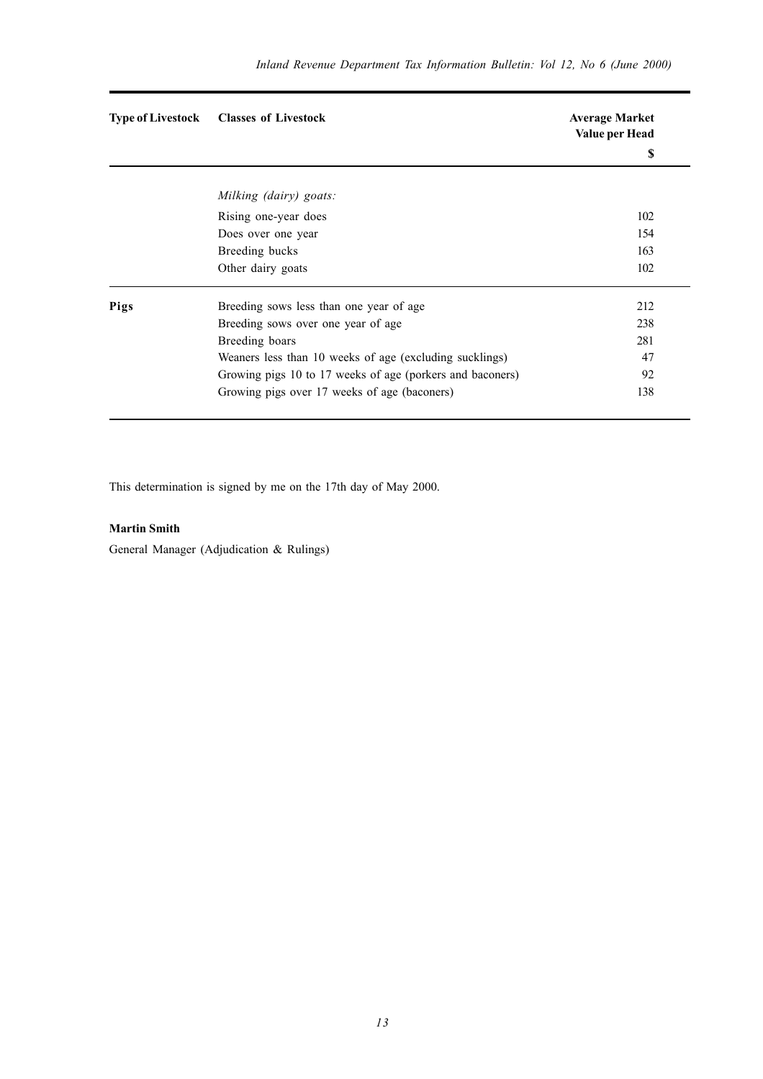| <b>Type of Livestock</b> | <b>Classes of Livestock</b>                               | <b>Average Market</b><br>Value per Head |
|--------------------------|-----------------------------------------------------------|-----------------------------------------|
|                          |                                                           | \$                                      |
|                          | Milking (dairy) goats:                                    |                                         |
|                          | Rising one-year does                                      | 102                                     |
|                          | Does over one year                                        | 154                                     |
|                          | Breeding bucks                                            | 163                                     |
|                          | Other dairy goats                                         | 102                                     |
| Pigs                     | Breeding sows less than one year of age                   | 212                                     |
|                          | Breeding sows over one year of age                        | 238                                     |
|                          | Breeding boars                                            | 281                                     |
|                          | Weaners less than 10 weeks of age (excluding sucklings)   | 47                                      |
|                          | Growing pigs 10 to 17 weeks of age (porkers and baconers) | 92                                      |
|                          | Growing pigs over 17 weeks of age (baconers)              | 138                                     |

This determination is signed by me on the 17th day of May 2000.

## **Martin Smith**

General Manager (Adjudication & Rulings)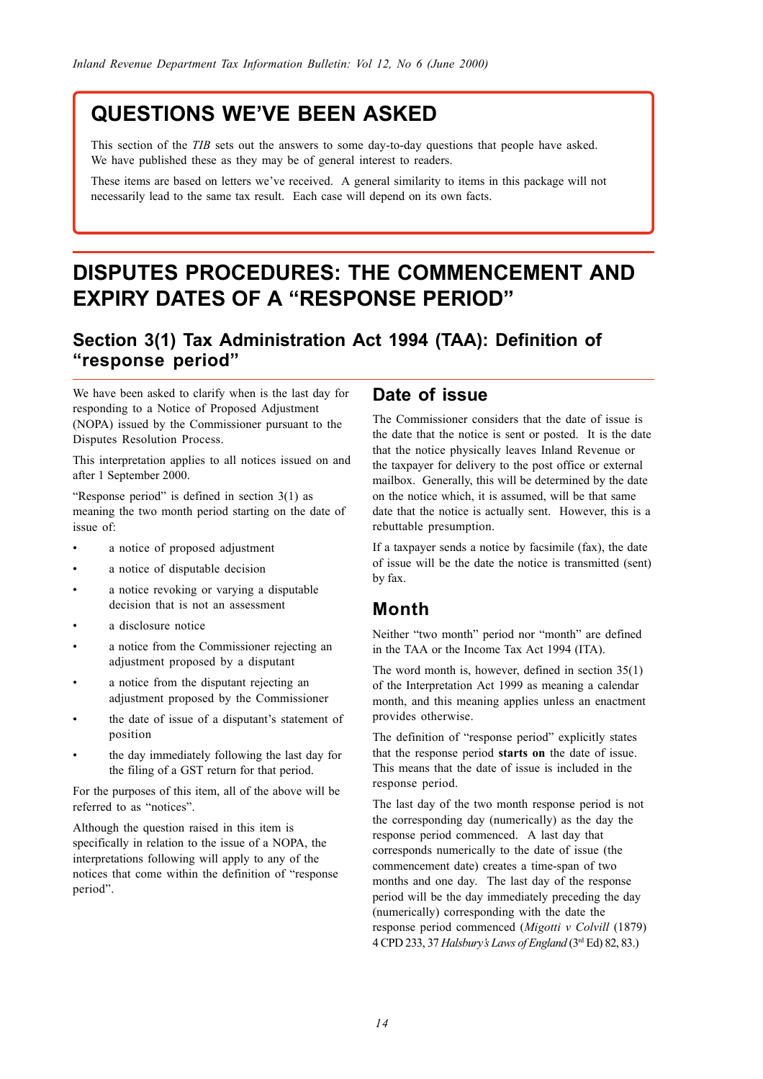# **QUESTIONS WE'VE BEEN ASKED**

This section of the *TIB* sets out the answers to some day-to-day questions that people have asked. We have published these as they may be of general interest to readers.

These items are based on letters we've received. A general similarity to items in this package will not necessarily lead to the same tax result. Each case will depend on its own facts.

# **DISPUTES PROCEDURES: THE COMMENCEMENT AND EXPIRY DATES OF A "RESPONSE PERIOD"**

## **Section 3(1) Tax Administration Act 1994 (TAA): Definition of "response period"**

We have been asked to clarify when is the last day for responding to a Notice of Proposed Adjustment (NOPA) issued by the Commissioner pursuant to the Disputes Resolution Process.

This interpretation applies to all notices issued on and after 1 September 2000.

"Response period" is defined in section  $3(1)$  as meaning the two month period starting on the date of issue of:

- a notice of proposed adjustment
- a notice of disputable decision
- a notice revoking or varying a disputable decision that is not an assessment
- a disclosure notice
- a notice from the Commissioner rejecting an adjustment proposed by a disputant
- a notice from the disputant rejecting an adjustment proposed by the Commissioner
- the date of issue of a disputant's statement of position
- the day immediately following the last day for the filing of a GST return for that period.

For the purposes of this item, all of the above will be referred to as "notices".

Although the question raised in this item is specifically in relation to the issue of a NOPA, the interpretations following will apply to any of the notices that come within the definition of "response period".

## **Date of issue**

The Commissioner considers that the date of issue is the date that the notice is sent or posted. It is the date that the notice physically leaves Inland Revenue or the taxpayer for delivery to the post office or external mailbox. Generally, this will be determined by the date on the notice which, it is assumed, will be that same date that the notice is actually sent. However, this is a rebuttable presumption.

If a taxpayer sends a notice by facsimile (fax), the date of issue will be the date the notice is transmitted (sent) by fax.

## **Month**

Neither "two month" period nor "month" are defined in the TAA or the Income Tax Act 1994 (ITA).

The word month is, however, defined in section 35(1) of the Interpretation Act 1999 as meaning a calendar month, and this meaning applies unless an enactment provides otherwise.

The definition of "response period" explicitly states that the response period **starts on** the date of issue. This means that the date of issue is included in the response period.

The last day of the two month response period is not the corresponding day (numerically) as the day the response period commenced. A last day that corresponds numerically to the date of issue (the commencement date) creates a time-span of two months and one day. The last day of the response period will be the day immediately preceding the day (numerically) corresponding with the date the response period commenced (*Migotti v Colvill* (1879) 4 CPD 233, 37 *Halsbury's Laws of England* (3rd Ed) 82, 83.)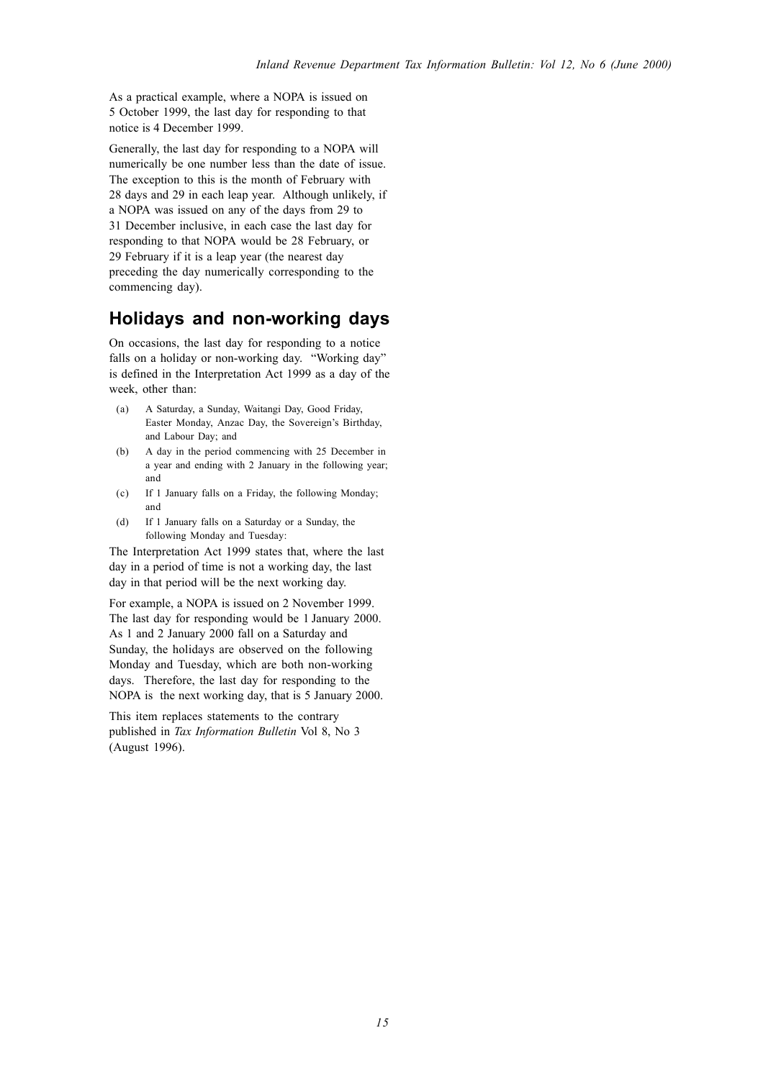As a practical example, where a NOPA is issued on 5 October 1999, the last day for responding to that notice is 4 December 1999.

Generally, the last day for responding to a NOPA will numerically be one number less than the date of issue. The exception to this is the month of February with 28 days and 29 in each leap year. Although unlikely, if a NOPA was issued on any of the days from 29 to 31 December inclusive, in each case the last day for responding to that NOPA would be 28 February, or 29 February if it is a leap year (the nearest day preceding the day numerically corresponding to the commencing day).

## **Holidays and non-working days**

On occasions, the last day for responding to a notice falls on a holiday or non-working day. "Working day" is defined in the Interpretation Act 1999 as a day of the week, other than:

- (a) A Saturday, a Sunday, Waitangi Day, Good Friday, Easter Monday, Anzac Day, the Sovereign's Birthday, and Labour Day; and
- (b) A day in the period commencing with 25 December in a year and ending with 2 January in the following year; and
- (c) If 1 January falls on a Friday, the following Monday; and
- (d) If 1 January falls on a Saturday or a Sunday, the following Monday and Tuesday:

The Interpretation Act 1999 states that, where the last day in a period of time is not a working day, the last day in that period will be the next working day.

For example, a NOPA is issued on 2 November 1999. The last day for responding would be 1 January 2000. As 1 and 2 January 2000 fall on a Saturday and Sunday, the holidays are observed on the following Monday and Tuesday, which are both non-working days. Therefore, the last day for responding to the NOPA is the next working day, that is 5 January 2000.

This item replaces statements to the contrary published in *Tax Information Bulletin* Vol 8, No 3 (August 1996).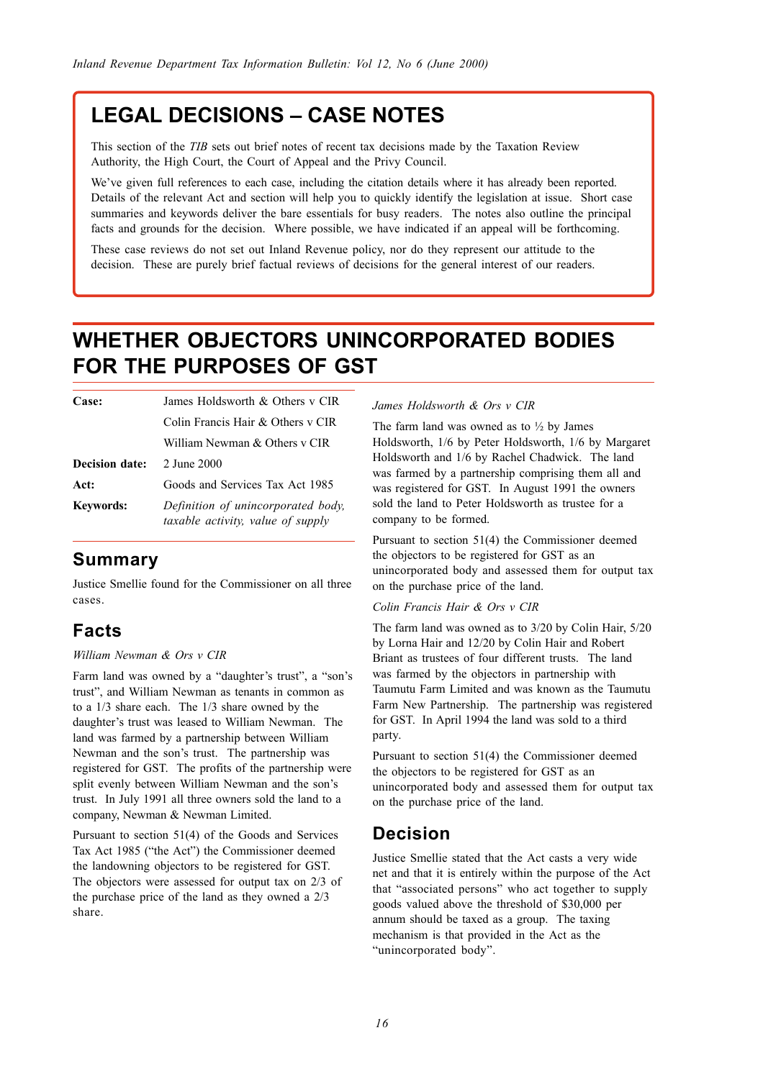# **LEGAL DECISIONS – CASE NOTES**

This section of the *TIB* sets out brief notes of recent tax decisions made by the Taxation Review Authority, the High Court, the Court of Appeal and the Privy Council.

We've given full references to each case, including the citation details where it has already been reported. Details of the relevant Act and section will help you to quickly identify the legislation at issue. Short case summaries and keywords deliver the bare essentials for busy readers. The notes also outline the principal facts and grounds for the decision. Where possible, we have indicated if an appeal will be forthcoming.

These case reviews do not set out Inland Revenue policy, nor do they represent our attitude to the decision. These are purely brief factual reviews of decisions for the general interest of our readers.

# **WHETHER OBJECTORS UNINCORPORATED BODIES FOR THE PURPOSES OF GST**

| Case:                 | James Holdsworth & Others y CIR                                         |
|-----------------------|-------------------------------------------------------------------------|
|                       | Colin Francis Hair & Others v CIR                                       |
|                       | William Newman & Others v CIR                                           |
| <b>Decision date:</b> | 2 June 2000                                                             |
| Act:                  | Goods and Services Tax Act 1985                                         |
| <b>Keywords:</b>      | Definition of unincorporated body,<br>taxable activity, value of supply |

## **Summary**

Justice Smellie found for the Commissioner on all three cases.

## **Facts**

#### *William Newman & Ors v CIR*

Farm land was owned by a "daughter's trust", a "son's trust", and William Newman as tenants in common as to a 1/3 share each. The 1/3 share owned by the daughter's trust was leased to William Newman. The land was farmed by a partnership between William Newman and the son's trust. The partnership was registered for GST. The profits of the partnership were split evenly between William Newman and the son's trust. In July 1991 all three owners sold the land to a company, Newman & Newman Limited.

Pursuant to section 51(4) of the Goods and Services Tax Act 1985 ("the Act") the Commissioner deemed the landowning objectors to be registered for GST. The objectors were assessed for output tax on 2/3 of the purchase price of the land as they owned a 2/3 share.

#### *James Holdsworth & Ors v CIR*

The farm land was owned as to  $\frac{1}{2}$  by James Holdsworth, 1/6 by Peter Holdsworth, 1/6 by Margaret Holdsworth and 1/6 by Rachel Chadwick. The land was farmed by a partnership comprising them all and was registered for GST. In August 1991 the owners sold the land to Peter Holdsworth as trustee for a company to be formed.

Pursuant to section 51(4) the Commissioner deemed the objectors to be registered for GST as an unincorporated body and assessed them for output tax on the purchase price of the land.

#### *Colin Francis Hair & Ors v CIR*

The farm land was owned as to 3/20 by Colin Hair, 5/20 by Lorna Hair and 12/20 by Colin Hair and Robert Briant as trustees of four different trusts. The land was farmed by the objectors in partnership with Taumutu Farm Limited and was known as the Taumutu Farm New Partnership. The partnership was registered for GST. In April 1994 the land was sold to a third party.

Pursuant to section 51(4) the Commissioner deemed the objectors to be registered for GST as an unincorporated body and assessed them for output tax on the purchase price of the land.

## **Decision**

Justice Smellie stated that the Act casts a very wide net and that it is entirely within the purpose of the Act that "associated persons" who act together to supply goods valued above the threshold of \$30,000 per annum should be taxed as a group. The taxing mechanism is that provided in the Act as the "unincorporated body".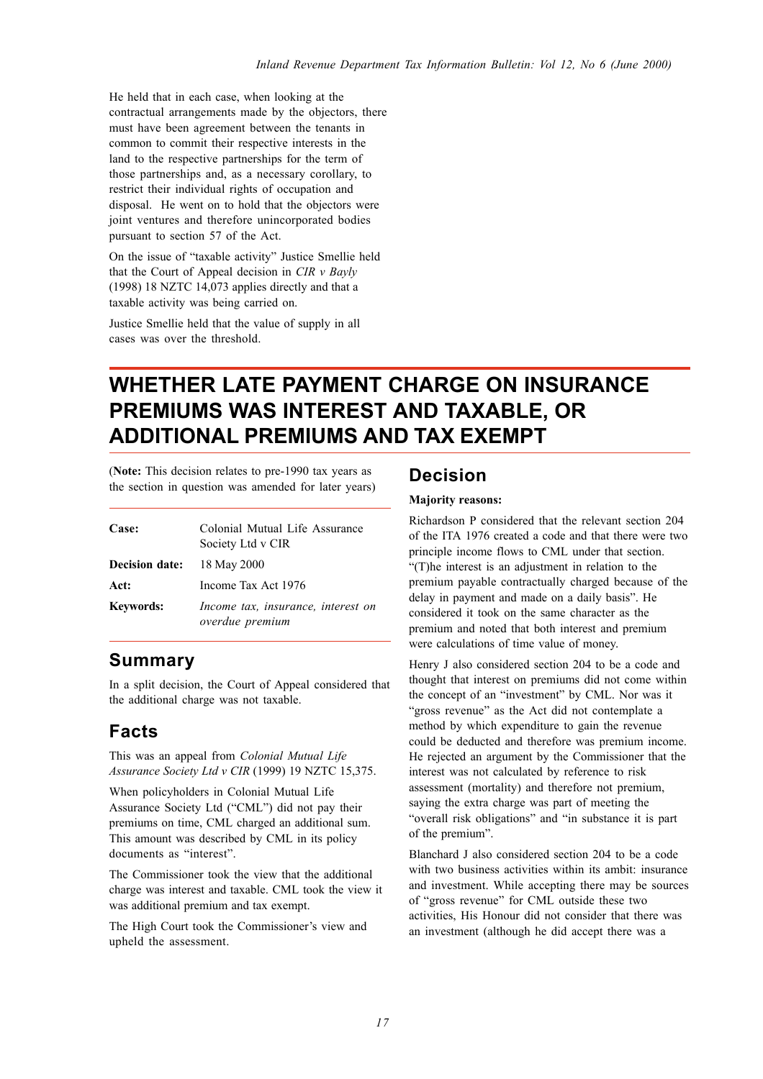He held that in each case, when looking at the contractual arrangements made by the objectors, there must have been agreement between the tenants in common to commit their respective interests in the land to the respective partnerships for the term of those partnerships and, as a necessary corollary, to restrict their individual rights of occupation and disposal. He went on to hold that the objectors were joint ventures and therefore unincorporated bodies pursuant to section 57 of the Act.

On the issue of "taxable activity" Justice Smellie held that the Court of Appeal decision in *CIR v Bayly* (1998) 18 NZTC 14,073 applies directly and that a taxable activity was being carried on.

Justice Smellie held that the value of supply in all cases was over the threshold.

# **WHETHER LATE PAYMENT CHARGE ON INSURANCE PREMIUMS WAS INTEREST AND TAXABLE, OR ADDITIONAL PREMIUMS AND TAX EXEMPT**

(**Note:** This decision relates to pre-1990 tax years as the section in question was amended for later years)

| Case:                 | Colonial Mutual Life Assurance<br>Society Ltd v CIR   |
|-----------------------|-------------------------------------------------------|
| <b>Decision date:</b> | 18 May 2000                                           |
| Act:                  | Income Tax Act 1976                                   |
| <b>Keywords:</b>      | Income tax, insurance, interest on<br>overdue premium |

## **Summary**

In a split decision, the Court of Appeal considered that the additional charge was not taxable.

# **Facts**

This was an appeal from *Colonial Mutual Life Assurance Society Ltd v CIR* (1999) 19 NZTC 15,375.

When policyholders in Colonial Mutual Life Assurance Society Ltd ("CML") did not pay their premiums on time, CML charged an additional sum. This amount was described by CML in its policy documents as "interest".

The Commissioner took the view that the additional charge was interest and taxable. CML took the view it was additional premium and tax exempt.

The High Court took the Commissioner's view and upheld the assessment.

## **Decision**

#### **Majority reasons:**

Richardson P considered that the relevant section 204 of the ITA 1976 created a code and that there were two principle income flows to CML under that section. "(T)he interest is an adjustment in relation to the premium payable contractually charged because of the delay in payment and made on a daily basis". He considered it took on the same character as the premium and noted that both interest and premium were calculations of time value of money.

Henry J also considered section 204 to be a code and thought that interest on premiums did not come within the concept of an "investment" by CML. Nor was it "gross revenue" as the Act did not contemplate a method by which expenditure to gain the revenue could be deducted and therefore was premium income. He rejected an argument by the Commissioner that the interest was not calculated by reference to risk assessment (mortality) and therefore not premium, saying the extra charge was part of meeting the "overall risk obligations" and "in substance it is part of the premium".

Blanchard J also considered section 204 to be a code with two business activities within its ambit: insurance and investment. While accepting there may be sources of "gross revenue" for CML outside these two activities, His Honour did not consider that there was an investment (although he did accept there was a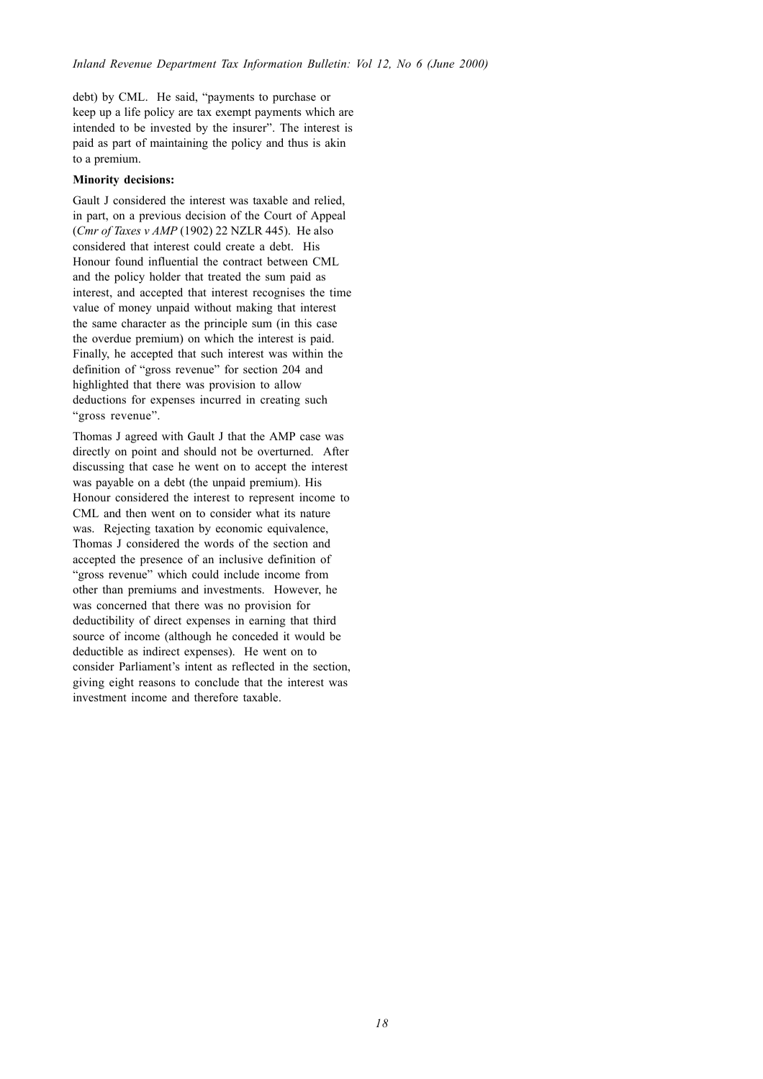debt) by CML. He said, "payments to purchase or keep up a life policy are tax exempt payments which are intended to be invested by the insurer". The interest is paid as part of maintaining the policy and thus is akin to a premium.

#### **Minority decisions:**

Gault J considered the interest was taxable and relied, in part, on a previous decision of the Court of Appeal (*Cmr of Taxes v AMP* (1902) 22 NZLR 445). He also considered that interest could create a debt. His Honour found influential the contract between CML and the policy holder that treated the sum paid as interest, and accepted that interest recognises the time value of money unpaid without making that interest the same character as the principle sum (in this case the overdue premium) on which the interest is paid. Finally, he accepted that such interest was within the definition of "gross revenue" for section 204 and highlighted that there was provision to allow deductions for expenses incurred in creating such "gross revenue".

Thomas J agreed with Gault J that the AMP case was directly on point and should not be overturned. After discussing that case he went on to accept the interest was payable on a debt (the unpaid premium). His Honour considered the interest to represent income to CML and then went on to consider what its nature was. Rejecting taxation by economic equivalence, Thomas J considered the words of the section and accepted the presence of an inclusive definition of "gross revenue" which could include income from other than premiums and investments. However, he was concerned that there was no provision for deductibility of direct expenses in earning that third source of income (although he conceded it would be deductible as indirect expenses). He went on to consider Parliament's intent as reflected in the section, giving eight reasons to conclude that the interest was investment income and therefore taxable.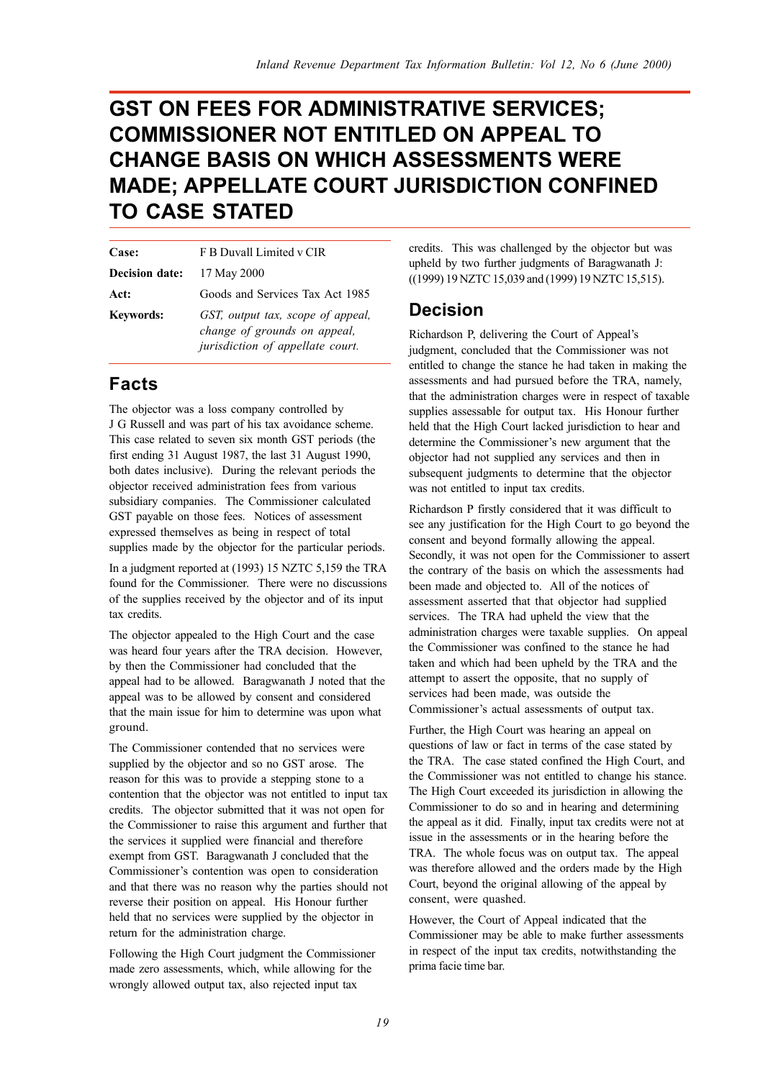# **GST ON FEES FOR ADMINISTRATIVE SERVICES; COMMISSIONER NOT ENTITLED ON APPEAL TO CHANGE BASIS ON WHICH ASSESSMENTS WERE MADE; APPELLATE COURT JURISDICTION CONFINED TO CASE STATED**

| Case:                 | F B Duvall Limited v CIR                                                                              |
|-----------------------|-------------------------------------------------------------------------------------------------------|
| <b>Decision date:</b> | 17 May 2000                                                                                           |
| Act:                  | Goods and Services Tax Act 1985                                                                       |
| <b>Keywords:</b>      | GST, output tax, scope of appeal,<br>change of grounds on appeal,<br>jurisdiction of appellate court. |

## **Facts**

The objector was a loss company controlled by J G Russell and was part of his tax avoidance scheme. This case related to seven six month GST periods (the first ending 31 August 1987, the last 31 August 1990, both dates inclusive). During the relevant periods the objector received administration fees from various subsidiary companies. The Commissioner calculated GST payable on those fees. Notices of assessment expressed themselves as being in respect of total supplies made by the objector for the particular periods.

In a judgment reported at (1993) 15 NZTC 5,159 the TRA found for the Commissioner. There were no discussions of the supplies received by the objector and of its input tax credits.

The objector appealed to the High Court and the case was heard four years after the TRA decision. However, by then the Commissioner had concluded that the appeal had to be allowed. Baragwanath J noted that the appeal was to be allowed by consent and considered that the main issue for him to determine was upon what ground.

The Commissioner contended that no services were supplied by the objector and so no GST arose. The reason for this was to provide a stepping stone to a contention that the objector was not entitled to input tax credits. The objector submitted that it was not open for the Commissioner to raise this argument and further that the services it supplied were financial and therefore exempt from GST. Baragwanath J concluded that the Commissioner's contention was open to consideration and that there was no reason why the parties should not reverse their position on appeal. His Honour further held that no services were supplied by the objector in return for the administration charge.

Following the High Court judgment the Commissioner made zero assessments, which, while allowing for the wrongly allowed output tax, also rejected input tax

credits. This was challenged by the objector but was upheld by two further judgments of Baragwanath J: ((1999) 19 NZTC 15,039 and (1999) 19 NZTC 15,515).

## **Decision**

Richardson P, delivering the Court of Appeal's judgment, concluded that the Commissioner was not entitled to change the stance he had taken in making the assessments and had pursued before the TRA, namely, that the administration charges were in respect of taxable supplies assessable for output tax. His Honour further held that the High Court lacked jurisdiction to hear and determine the Commissioner's new argument that the objector had not supplied any services and then in subsequent judgments to determine that the objector was not entitled to input tax credits.

Richardson P firstly considered that it was difficult to see any justification for the High Court to go beyond the consent and beyond formally allowing the appeal. Secondly, it was not open for the Commissioner to assert the contrary of the basis on which the assessments had been made and objected to. All of the notices of assessment asserted that that objector had supplied services. The TRA had upheld the view that the administration charges were taxable supplies. On appeal the Commissioner was confined to the stance he had taken and which had been upheld by the TRA and the attempt to assert the opposite, that no supply of services had been made, was outside the Commissioner's actual assessments of output tax.

Further, the High Court was hearing an appeal on questions of law or fact in terms of the case stated by the TRA. The case stated confined the High Court, and the Commissioner was not entitled to change his stance. The High Court exceeded its jurisdiction in allowing the Commissioner to do so and in hearing and determining the appeal as it did. Finally, input tax credits were not at issue in the assessments or in the hearing before the TRA. The whole focus was on output tax. The appeal was therefore allowed and the orders made by the High Court, beyond the original allowing of the appeal by consent, were quashed.

However, the Court of Appeal indicated that the Commissioner may be able to make further assessments in respect of the input tax credits, notwithstanding the prima facie time bar.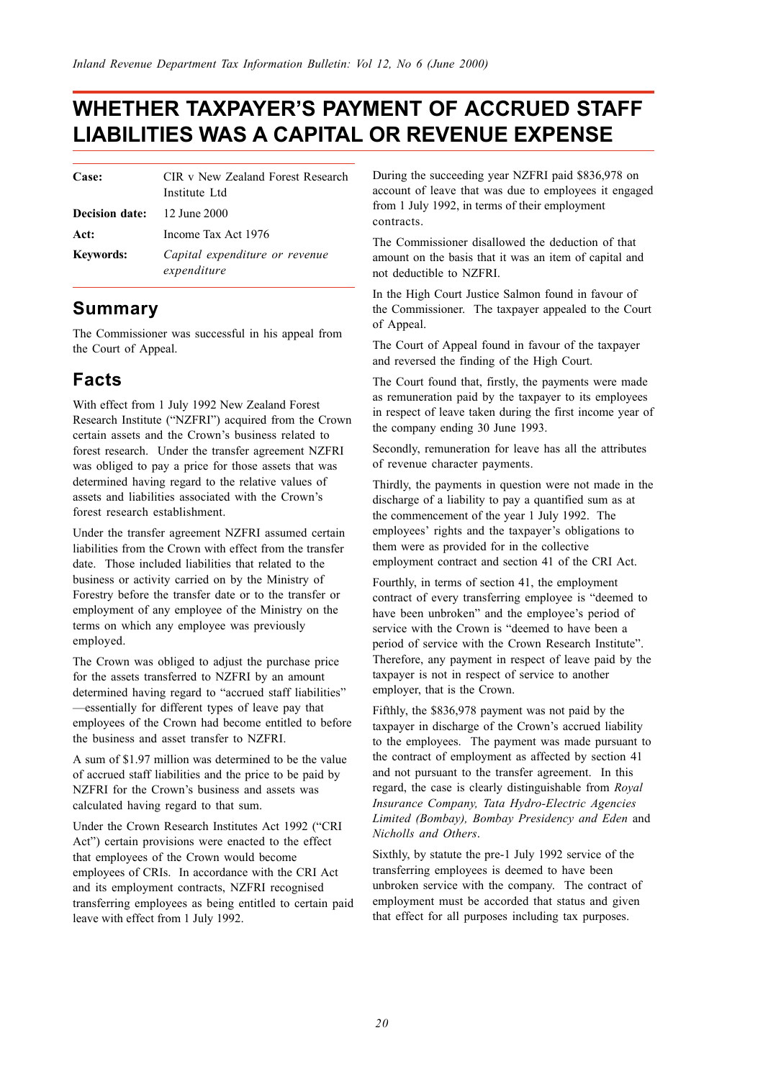# **WHETHER TAXPAYER'S PAYMENT OF ACCRUED STAFF LIABILITIES WAS A CAPITAL OR REVENUE EXPENSE**

| Case:                              | CIR v New Zealand Forest Research<br>Institute Ltd |  |
|------------------------------------|----------------------------------------------------|--|
| <b>Decision date:</b> 12 June 2000 |                                                    |  |
| Act:                               | Income Tax Act 1976                                |  |
| <b>Keywords:</b>                   | Capital expenditure or revenue<br>expenditure      |  |

# **Summary**

The Commissioner was successful in his appeal from the Court of Appeal.

# **Facts**

With effect from 1 July 1992 New Zealand Forest Research Institute ("NZFRI") acquired from the Crown certain assets and the Crown's business related to forest research. Under the transfer agreement NZFRI was obliged to pay a price for those assets that was determined having regard to the relative values of assets and liabilities associated with the Crown's forest research establishment.

Under the transfer agreement NZFRI assumed certain liabilities from the Crown with effect from the transfer date. Those included liabilities that related to the business or activity carried on by the Ministry of Forestry before the transfer date or to the transfer or employment of any employee of the Ministry on the terms on which any employee was previously employed.

The Crown was obliged to adjust the purchase price for the assets transferred to NZFRI by an amount determined having regard to "accrued staff liabilities" —essentially for different types of leave pay that employees of the Crown had become entitled to before the business and asset transfer to NZFRI.

A sum of \$1.97 million was determined to be the value of accrued staff liabilities and the price to be paid by NZFRI for the Crown's business and assets was calculated having regard to that sum.

Under the Crown Research Institutes Act 1992 ("CRI Act") certain provisions were enacted to the effect that employees of the Crown would become employees of CRIs. In accordance with the CRI Act and its employment contracts, NZFRI recognised transferring employees as being entitled to certain paid leave with effect from 1 July 1992.

During the succeeding year NZFRI paid \$836,978 on account of leave that was due to employees it engaged from 1 July 1992, in terms of their employment contracts.

The Commissioner disallowed the deduction of that amount on the basis that it was an item of capital and not deductible to NZFRI.

In the High Court Justice Salmon found in favour of the Commissioner. The taxpayer appealed to the Court of Appeal.

The Court of Appeal found in favour of the taxpayer and reversed the finding of the High Court.

The Court found that, firstly, the payments were made as remuneration paid by the taxpayer to its employees in respect of leave taken during the first income year of the company ending 30 June 1993.

Secondly, remuneration for leave has all the attributes of revenue character payments.

Thirdly, the payments in question were not made in the discharge of a liability to pay a quantified sum as at the commencement of the year 1 July 1992. The employees' rights and the taxpayer's obligations to them were as provided for in the collective employment contract and section 41 of the CRI Act.

Fourthly, in terms of section 41, the employment contract of every transferring employee is "deemed to have been unbroken" and the employee's period of service with the Crown is "deemed to have been a period of service with the Crown Research Institute". Therefore, any payment in respect of leave paid by the taxpayer is not in respect of service to another employer, that is the Crown.

Fifthly, the \$836,978 payment was not paid by the taxpayer in discharge of the Crown's accrued liability to the employees. The payment was made pursuant to the contract of employment as affected by section 41 and not pursuant to the transfer agreement. In this regard, the case is clearly distinguishable from *Royal Insurance Company, Tata Hydro-Electric Agencies Limited (Bombay), Bombay Presidency and Eden* and *Nicholls and Others*.

Sixthly, by statute the pre-1 July 1992 service of the transferring employees is deemed to have been unbroken service with the company. The contract of employment must be accorded that status and given that effect for all purposes including tax purposes.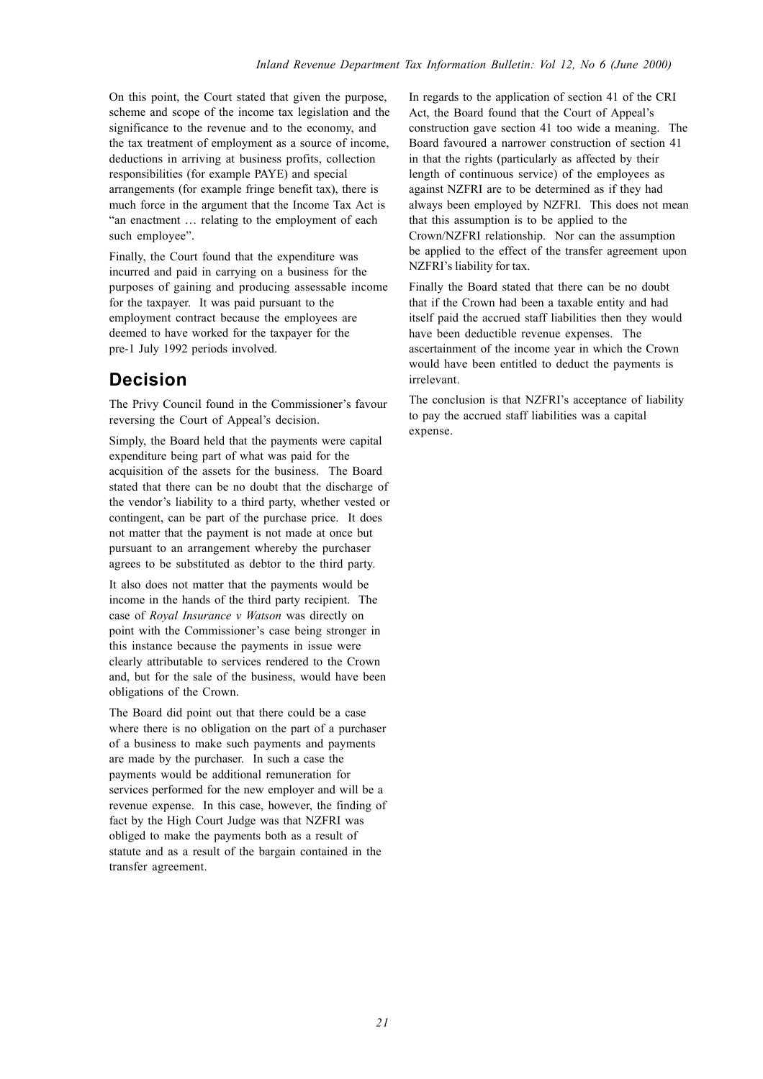On this point, the Court stated that given the purpose, scheme and scope of the income tax legislation and the significance to the revenue and to the economy, and the tax treatment of employment as a source of income, deductions in arriving at business profits, collection responsibilities (for example PAYE) and special arrangements (for example fringe benefit tax), there is much force in the argument that the Income Tax Act is "an enactment … relating to the employment of each such employee".

Finally, the Court found that the expenditure was incurred and paid in carrying on a business for the purposes of gaining and producing assessable income for the taxpayer. It was paid pursuant to the employment contract because the employees are deemed to have worked for the taxpayer for the pre-1 July 1992 periods involved.

# **Decision**

The Privy Council found in the Commissioner's favour reversing the Court of Appeal's decision.

Simply, the Board held that the payments were capital expenditure being part of what was paid for the acquisition of the assets for the business. The Board stated that there can be no doubt that the discharge of the vendor's liability to a third party, whether vested or contingent, can be part of the purchase price. It does not matter that the payment is not made at once but pursuant to an arrangement whereby the purchaser agrees to be substituted as debtor to the third party.

It also does not matter that the payments would be income in the hands of the third party recipient. The case of *Royal Insurance v Watson* was directly on point with the Commissioner's case being stronger in this instance because the payments in issue were clearly attributable to services rendered to the Crown and, but for the sale of the business, would have been obligations of the Crown.

The Board did point out that there could be a case where there is no obligation on the part of a purchaser of a business to make such payments and payments are made by the purchaser. In such a case the payments would be additional remuneration for services performed for the new employer and will be a revenue expense. In this case, however, the finding of fact by the High Court Judge was that NZFRI was obliged to make the payments both as a result of statute and as a result of the bargain contained in the transfer agreement.

In regards to the application of section 41 of the CRI Act, the Board found that the Court of Appeal's construction gave section 41 too wide a meaning. The Board favoured a narrower construction of section 41 in that the rights (particularly as affected by their length of continuous service) of the employees as against NZFRI are to be determined as if they had always been employed by NZFRI. This does not mean that this assumption is to be applied to the Crown/NZFRI relationship. Nor can the assumption be applied to the effect of the transfer agreement upon NZFRI's liability for tax.

Finally the Board stated that there can be no doubt that if the Crown had been a taxable entity and had itself paid the accrued staff liabilities then they would have been deductible revenue expenses. The ascertainment of the income year in which the Crown would have been entitled to deduct the payments is irrelevant.

The conclusion is that NZFRI's acceptance of liability to pay the accrued staff liabilities was a capital expense.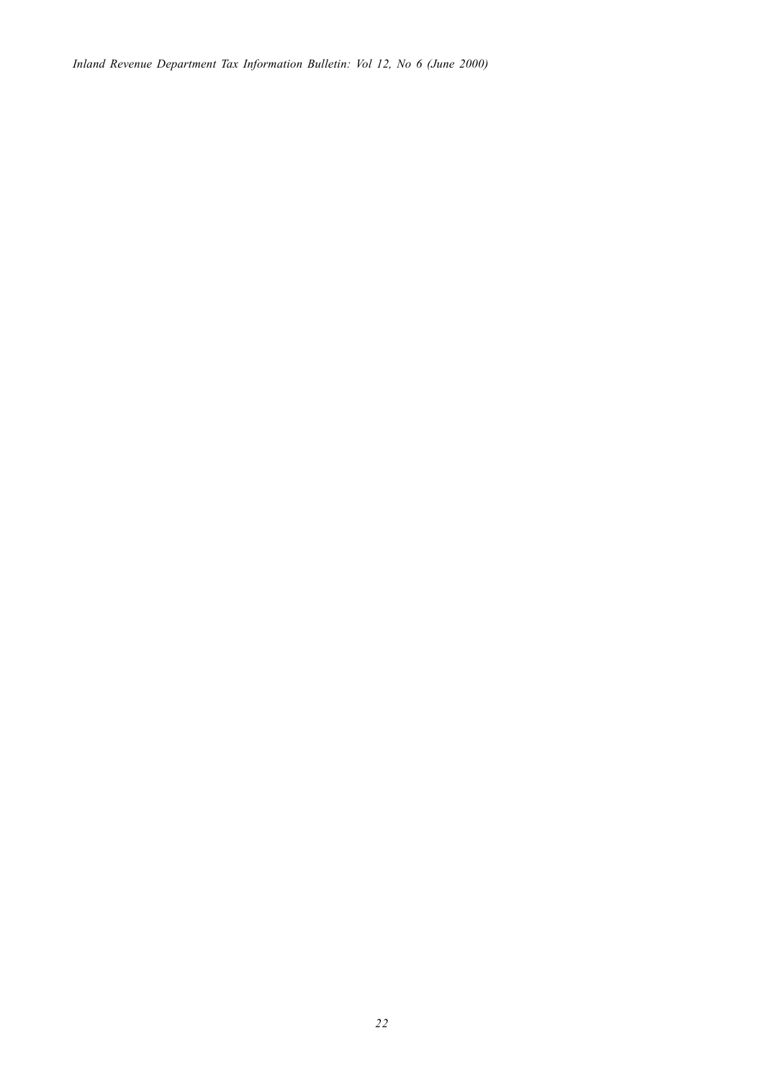*Inland Revenue Department Tax Information Bulletin: Vol 12, No 6 (June 2000)*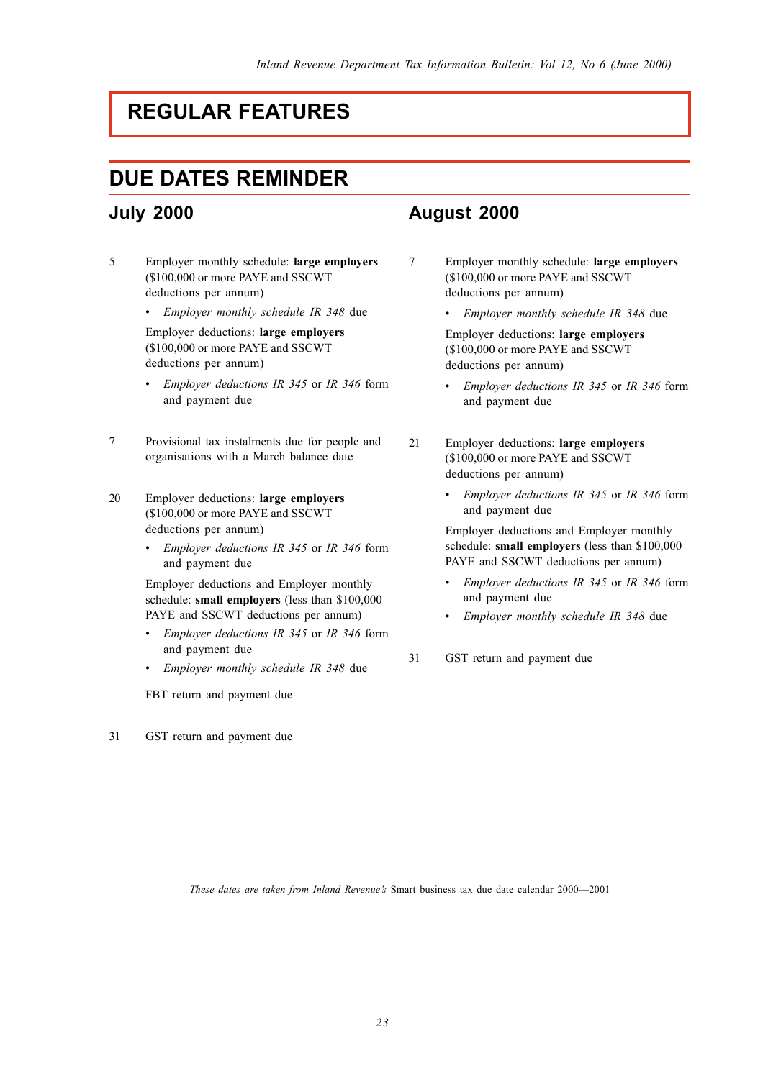# **REGULAR FEATURES**

# **DUE DATES REMINDER**

## **July 2000**

5 Employer monthly schedule: **large employers** (\$100,000 or more PAYE and SSCWT deductions per annum)

• *Employer monthly schedule IR 348* due

Employer deductions: **large employers** (\$100,000 or more PAYE and SSCWT deductions per annum)

- *Employer deductions IR 345* or *IR 346* form and payment due
- 7 Provisional tax instalments due for people and organisations with a March balance date
- 20 Employer deductions: **large employers** (\$100,000 or more PAYE and SSCWT deductions per annum)
	- *Employer deductions IR 345* or *IR 346* form and payment due

Employer deductions and Employer monthly schedule: **small employers** (less than \$100,000 PAYE and SSCWT deductions per annum)

- *Employer deductions IR 345* or *IR 346* form and payment due
- *Employer monthly schedule IR 348* due
- FBT return and payment due
- 31 GST return and payment due

## **August 2000**

- 7 Employer monthly schedule: **large employers** (\$100,000 or more PAYE and SSCWT deductions per annum)
	- *Employer monthly schedule IR 348* due

Employer deductions: **large employers** (\$100,000 or more PAYE and SSCWT deductions per annum)

- *Employer deductions IR 345* or *IR 346* form and payment due
- 21 Employer deductions: **large employers** (\$100,000 or more PAYE and SSCWT deductions per annum)
	- *Employer deductions IR 345* or *IR 346* form and payment due

Employer deductions and Employer monthly schedule: **small employers** (less than \$100,000 PAYE and SSCWT deductions per annum)

- *Employer deductions IR 345* or *IR 346* form and payment due
- *Employer monthly schedule IR 348* due
- 31 GST return and payment due

*These dates are taken from Inland Revenue's* Smart business tax due date calendar 2000—2001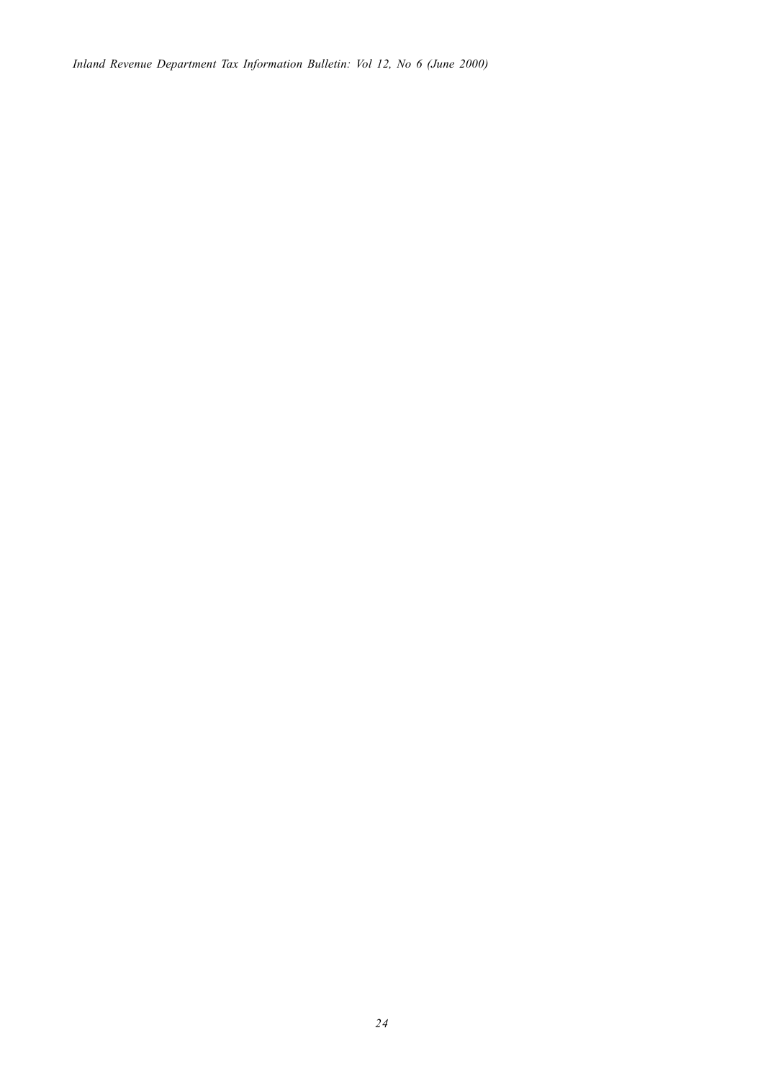*Inland Revenue Department Tax Information Bulletin: Vol 12, No 6 (June 2000)*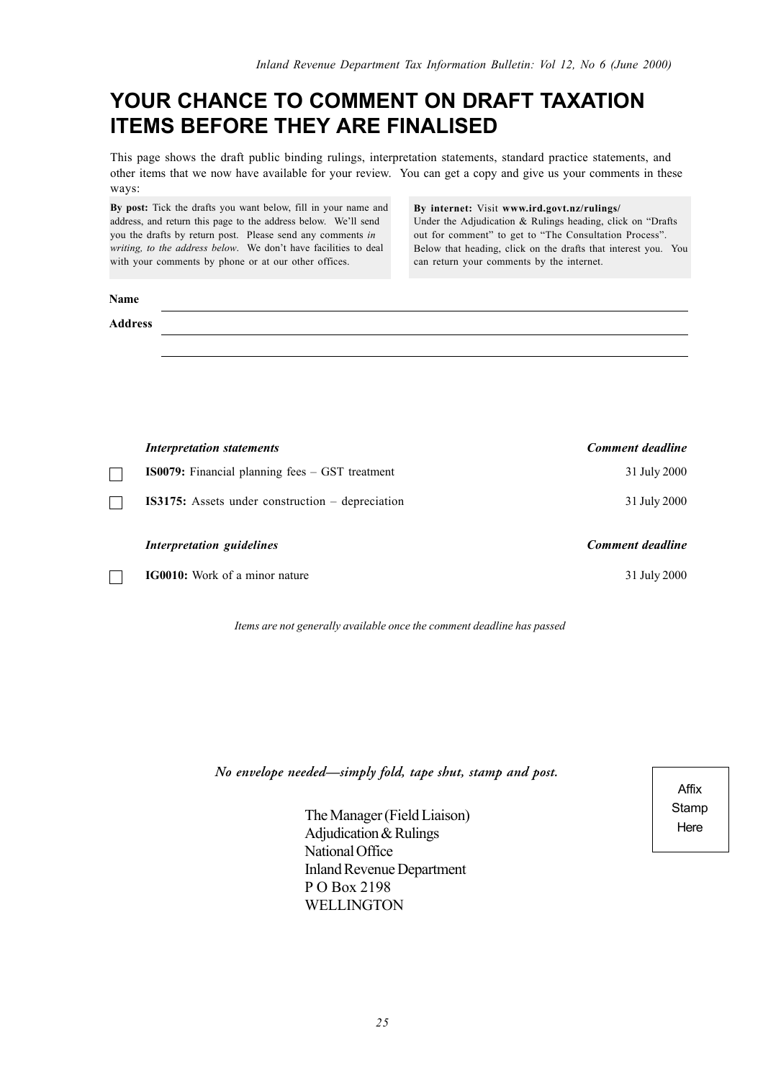# **YOUR CHANCE TO COMMENT ON DRAFT TAXATION ITEMS BEFORE THEY ARE FINALISED**

This page shows the draft public binding rulings, interpretation statements, standard practice statements, and other items that we now have available for your review. You can get a copy and give us your comments in these ways:

**By post:** Tick the drafts you want below, fill in your name and address, and return this page to the address below. We'll send you the drafts by return post. Please send any comments *in writing, to the address below*. We don't have facilities to deal with your comments by phone or at our other offices.

**By internet:** Visit **www.ird.govt.nz/rulings/** Under the Adjudication & Rulings heading, click on "Drafts out for comment" to get to "The Consultation Process". Below that heading, click on the drafts that interest you. You can return your comments by the internet.

| Name           |  |
|----------------|--|
| <b>Address</b> |  |
|                |  |

| <b>Interpretation statements</b>                         | <b>Comment deadline</b> |
|----------------------------------------------------------|-------------------------|
| <b>IS0079:</b> Financial planning fees $-$ GST treatment | 31 July 2000            |
| <b>IS3175:</b> Assets under construction – depreciation  | 31 July 2000            |
|                                                          |                         |
| <b>Interpretation guidelines</b>                         | <b>Comment deadline</b> |
| <b>IG0010:</b> Work of a minor nature                    | 31 July 2000            |
|                                                          |                         |

*Items are not generally available once the comment deadline has passed*

*No envelope needed—simply fold, tape shut, stamp and post.*

The Manager (Field Liaison) Adjudication & Rulings National Office Inland Revenue Department P O Box 2198 WELLINGTON

Affix **Stamp Here**